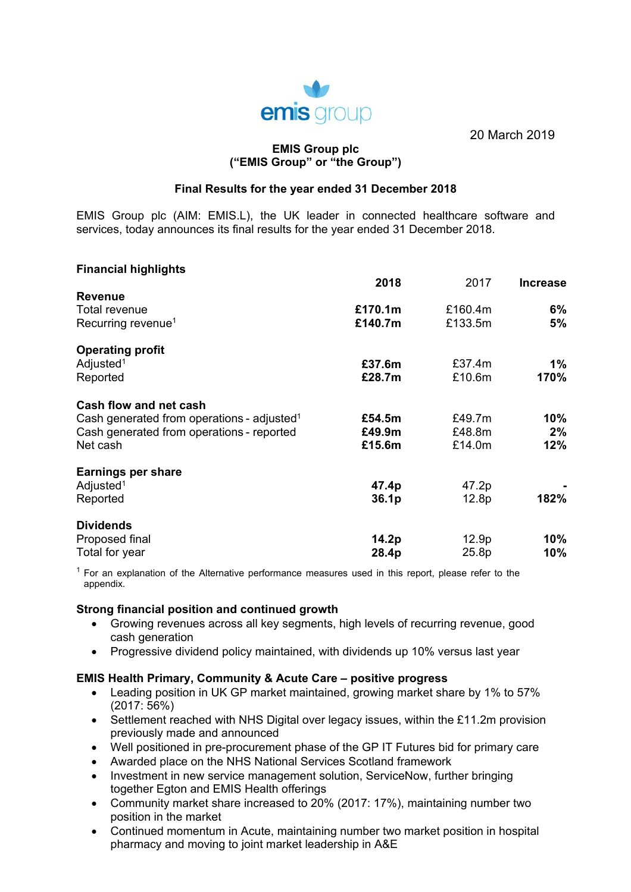

20 March 2019

## **EMIS Group plc ("EMIS Group" or "the Group")**

## **Final Results for the year ended 31 December 2018**

EMIS Group plc (AIM: EMIS.L), the UK leader in connected healthcare software and services, today announces its final results for the year ended 31 December 2018.

## **Financial highlights**

|                                                        | 2018    | 2017    | <b>Increase</b> |
|--------------------------------------------------------|---------|---------|-----------------|
| <b>Revenue</b>                                         |         |         |                 |
| Total revenue                                          | £170.1m | £160.4m | 6%              |
| Recurring revenue <sup>1</sup>                         | £140.7m | £133.5m | 5%              |
| <b>Operating profit</b>                                |         |         |                 |
| Adjusted <sup>1</sup>                                  | £37.6m  | £37.4m  | 1%              |
| Reported                                               | £28.7m  | £10.6m  | 170%            |
| Cash flow and net cash                                 |         |         |                 |
| Cash generated from operations - adjusted <sup>1</sup> | £54.5m  | £49.7m  | 10%             |
| Cash generated from operations - reported              | £49.9m  | £48.8m  | 2%              |
| Net cash                                               | £15.6m  | £14.0m  | 12%             |
| <b>Earnings per share</b>                              |         |         |                 |
| Adjusted <sup>1</sup>                                  | 47.4p   | 47.2p   |                 |
| Reported                                               | 36.1p   | 12.8p   | 182%            |
| <b>Dividends</b>                                       |         |         |                 |
| Proposed final                                         | 14.2p   | 12.9p   | $10\%$          |
| Total for year                                         | 28.4p   | 25.8p   | 10%             |

 $<sup>1</sup>$  For an explanation of the Alternative performance measures used in this report, please refer to the</sup> appendix.

#### **Strong financial position and continued growth**

- Growing revenues across all key segments, high levels of recurring revenue, good cash generation
- Progressive dividend policy maintained, with dividends up 10% versus last year

## **EMIS Health Primary, Community & Acute Care – positive progress**

- Leading position in UK GP market maintained, growing market share by 1% to 57% (2017: 56%)
- Settlement reached with NHS Digital over legacy issues, within the £11.2m provision previously made and announced
- Well positioned in pre-procurement phase of the GP IT Futures bid for primary care
- Awarded place on the NHS National Services Scotland framework
- Investment in new service management solution, ServiceNow, further bringing together Egton and EMIS Health offerings
- Community market share increased to 20% (2017: 17%), maintaining number two position in the market
- Continued momentum in Acute, maintaining number two market position in hospital pharmacy and moving to joint market leadership in A&E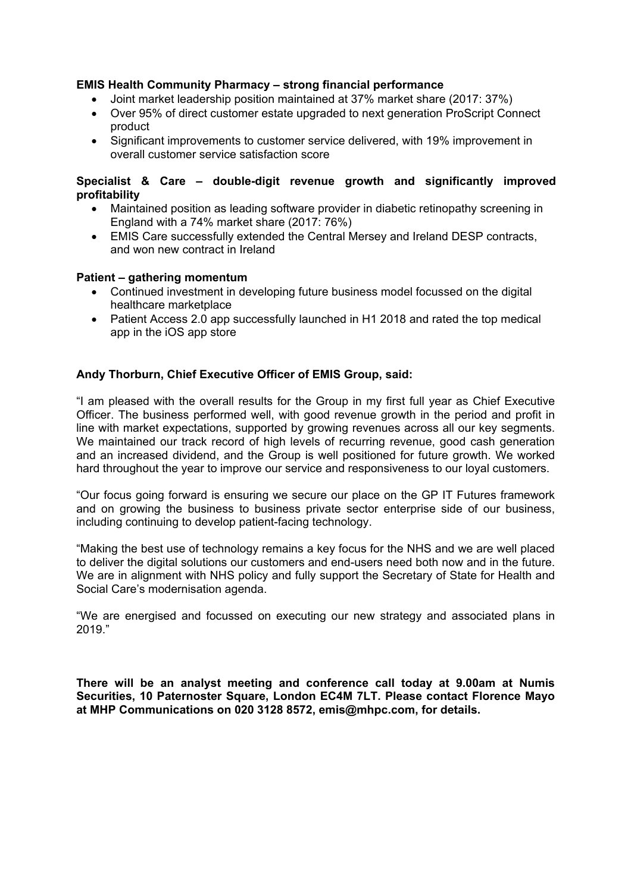## **EMIS Health Community Pharmacy – strong financial performance**

- Joint market leadership position maintained at 37% market share (2017: 37%)
- Over 95% of direct customer estate upgraded to next generation ProScript Connect product
- Significant improvements to customer service delivered, with 19% improvement in overall customer service satisfaction score

## **Specialist & Care – double-digit revenue growth and significantly improved profitability**

- Maintained position as leading software provider in diabetic retinopathy screening in England with a 74% market share (2017: 76%)
- EMIS Care successfully extended the Central Mersey and Ireland DESP contracts, and won new contract in Ireland

## **Patient – gathering momentum**

- Continued investment in developing future business model focussed on the digital healthcare marketplace
- Patient Access 2.0 app successfully launched in H1 2018 and rated the top medical app in the iOS app store

## **Andy Thorburn, Chief Executive Officer of EMIS Group, said:**

"I am pleased with the overall results for the Group in my first full year as Chief Executive Officer. The business performed well, with good revenue growth in the period and profit in line with market expectations, supported by growing revenues across all our key segments. We maintained our track record of high levels of recurring revenue, good cash generation and an increased dividend, and the Group is well positioned for future growth. We worked hard throughout the year to improve our service and responsiveness to our loyal customers.

"Our focus going forward is ensuring we secure our place on the GP IT Futures framework and on growing the business to business private sector enterprise side of our business, including continuing to develop patient-facing technology.

"Making the best use of technology remains a key focus for the NHS and we are well placed to deliver the digital solutions our customers and end-users need both now and in the future. We are in alignment with NHS policy and fully support the Secretary of State for Health and Social Care's modernisation agenda.

"We are energised and focussed on executing our new strategy and associated plans in 2019."

**There will be an analyst meeting and conference call today at 9.00am at Numis Securities, 10 Paternoster Square, London EC4M 7LT. Please contact Florence Mayo at MHP Communications on 020 3128 8572, emis@mhpc.com, for details.**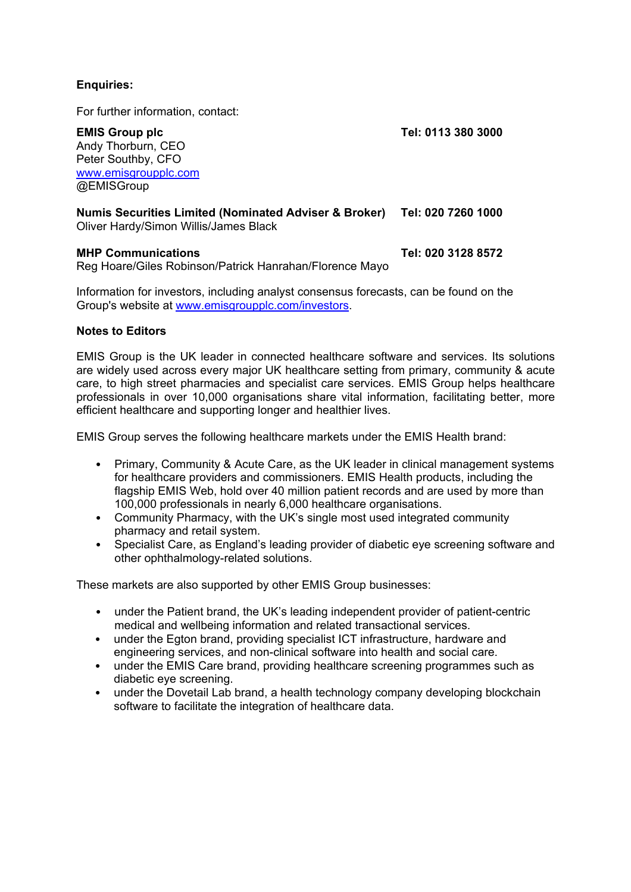# **Enquiries:**

For further information, contact:

**EMIS Group plc Tel: 0113 380 3000**  Andy Thorburn, CEO Peter Southby, CFO www.emisgroupplc.com @EMISGroup

**Numis Securities Limited (Nominated Adviser & Broker) Tel: 020 7260 1000** 

Oliver Hardy/Simon Willis/James Black

## **MHP Communications Tel: 020 3128 8572**

Reg Hoare/Giles Robinson/Patrick Hanrahan/Florence Mayo

Information for investors, including analyst consensus forecasts, can be found on the Group's website at www.emisgroupplc.com/investors.

## **Notes to Editors**

EMIS Group is the UK leader in connected healthcare software and services. Its solutions are widely used across every major UK healthcare setting from primary, community & acute care, to high street pharmacies and specialist care services. EMIS Group helps healthcare professionals in over 10,000 organisations share vital information, facilitating better, more efficient healthcare and supporting longer and healthier lives.

EMIS Group serves the following healthcare markets under the EMIS Health brand:

- Primary, Community & Acute Care, as the UK leader in clinical management systems for healthcare providers and commissioners. EMIS Health products, including the flagship EMIS Web, hold over 40 million patient records and are used by more than 100,000 professionals in nearly 6,000 healthcare organisations.
- Community Pharmacy, with the UK's single most used integrated community pharmacy and retail system.
- Specialist Care, as England's leading provider of diabetic eye screening software and other ophthalmology-related solutions.

These markets are also supported by other EMIS Group businesses:

- under the Patient brand, the UK's leading independent provider of patient-centric medical and wellbeing information and related transactional services.
- under the Egton brand, providing specialist ICT infrastructure, hardware and engineering services, and non-clinical software into health and social care.
- under the EMIS Care brand, providing healthcare screening programmes such as diabetic eye screening.
- under the Dovetail Lab brand, a health technology company developing blockchain software to facilitate the integration of healthcare data.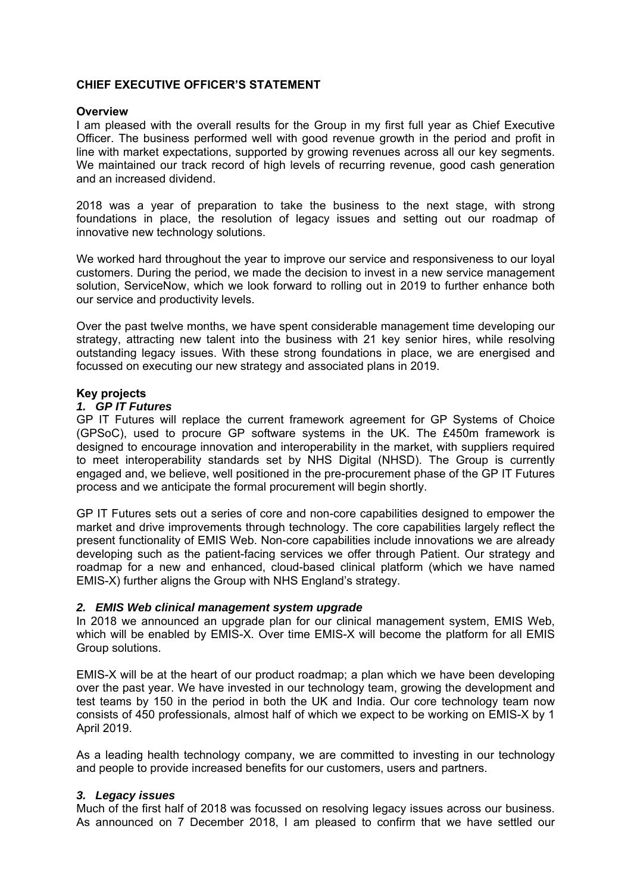## **CHIEF EXECUTIVE OFFICER'S STATEMENT**

#### **Overview**

I am pleased with the overall results for the Group in my first full year as Chief Executive Officer. The business performed well with good revenue growth in the period and profit in line with market expectations, supported by growing revenues across all our key segments. We maintained our track record of high levels of recurring revenue, good cash generation and an increased dividend.

2018 was a year of preparation to take the business to the next stage, with strong foundations in place, the resolution of legacy issues and setting out our roadmap of innovative new technology solutions.

We worked hard throughout the year to improve our service and responsiveness to our loyal customers. During the period, we made the decision to invest in a new service management solution, ServiceNow, which we look forward to rolling out in 2019 to further enhance both our service and productivity levels.

Over the past twelve months, we have spent considerable management time developing our strategy, attracting new talent into the business with 21 key senior hires, while resolving outstanding legacy issues. With these strong foundations in place, we are energised and focussed on executing our new strategy and associated plans in 2019.

## **Key projects**

#### *1. GP IT Futures*

GP IT Futures will replace the current framework agreement for GP Systems of Choice (GPSoC), used to procure GP software systems in the UK. The £450m framework is designed to encourage innovation and interoperability in the market, with suppliers required to meet interoperability standards set by NHS Digital (NHSD). The Group is currently engaged and, we believe, well positioned in the pre-procurement phase of the GP IT Futures process and we anticipate the formal procurement will begin shortly.

GP IT Futures sets out a series of core and non-core capabilities designed to empower the market and drive improvements through technology. The core capabilities largely reflect the present functionality of EMIS Web. Non-core capabilities include innovations we are already developing such as the patient-facing services we offer through Patient. Our strategy and roadmap for a new and enhanced, cloud-based clinical platform (which we have named EMIS-X) further aligns the Group with NHS England's strategy.

#### *2. EMIS Web clinical management system upgrade*

In 2018 we announced an upgrade plan for our clinical management system, EMIS Web, which will be enabled by EMIS-X. Over time EMIS-X will become the platform for all EMIS Group solutions.

EMIS-X will be at the heart of our product roadmap; a plan which we have been developing over the past year. We have invested in our technology team, growing the development and test teams by 150 in the period in both the UK and India. Our core technology team now consists of 450 professionals, almost half of which we expect to be working on EMIS-X by 1 April 2019.

As a leading health technology company, we are committed to investing in our technology and people to provide increased benefits for our customers, users and partners.

#### *3. Legacy issues*

Much of the first half of 2018 was focussed on resolving legacy issues across our business. As announced on 7 December 2018, I am pleased to confirm that we have settled our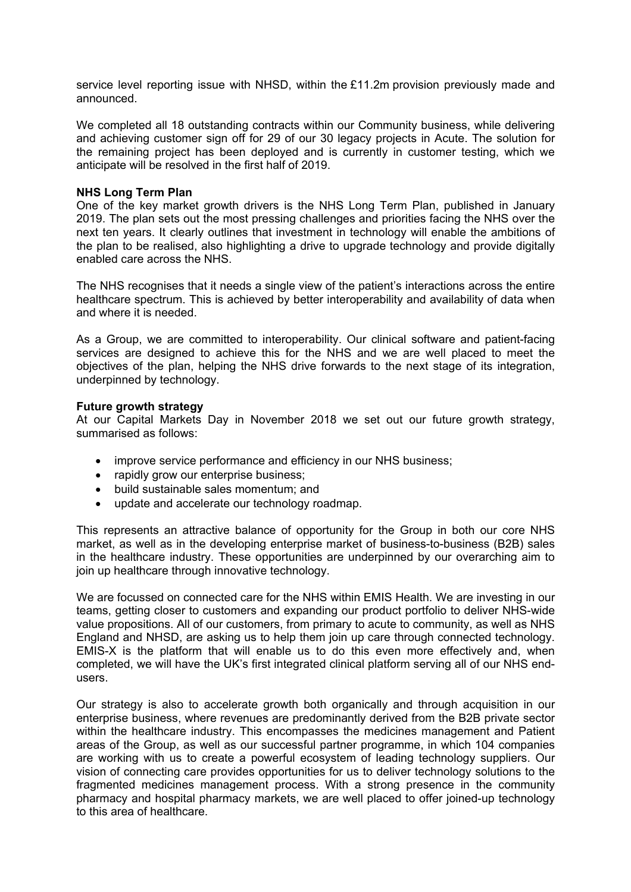service level reporting issue with NHSD, within the £11.2m provision previously made and announced.

We completed all 18 outstanding contracts within our Community business, while delivering and achieving customer sign off for 29 of our 30 legacy projects in Acute. The solution for the remaining project has been deployed and is currently in customer testing, which we anticipate will be resolved in the first half of 2019.

#### **NHS Long Term Plan**

One of the key market growth drivers is the NHS Long Term Plan, published in January 2019. The plan sets out the most pressing challenges and priorities facing the NHS over the next ten years. It clearly outlines that investment in technology will enable the ambitions of the plan to be realised, also highlighting a drive to upgrade technology and provide digitally enabled care across the NHS.

The NHS recognises that it needs a single view of the patient's interactions across the entire healthcare spectrum. This is achieved by better interoperability and availability of data when and where it is needed.

As a Group, we are committed to interoperability. Our clinical software and patient-facing services are designed to achieve this for the NHS and we are well placed to meet the objectives of the plan, helping the NHS drive forwards to the next stage of its integration, underpinned by technology.

#### **Future growth strategy**

At our Capital Markets Day in November 2018 we set out our future growth strategy, summarised as follows:

- improve service performance and efficiency in our NHS business:
- rapidly grow our enterprise business:
- build sustainable sales momentum; and
- update and accelerate our technology roadmap.

This represents an attractive balance of opportunity for the Group in both our core NHS market, as well as in the developing enterprise market of business-to-business (B2B) sales in the healthcare industry. These opportunities are underpinned by our overarching aim to join up healthcare through innovative technology.

We are focussed on connected care for the NHS within EMIS Health. We are investing in our teams, getting closer to customers and expanding our product portfolio to deliver NHS-wide value propositions. All of our customers, from primary to acute to community, as well as NHS England and NHSD, are asking us to help them join up care through connected technology. EMIS-X is the platform that will enable us to do this even more effectively and, when completed, we will have the UK's first integrated clinical platform serving all of our NHS endusers.

Our strategy is also to accelerate growth both organically and through acquisition in our enterprise business, where revenues are predominantly derived from the B2B private sector within the healthcare industry. This encompasses the medicines management and Patient areas of the Group, as well as our successful partner programme, in which 104 companies are working with us to create a powerful ecosystem of leading technology suppliers. Our vision of connecting care provides opportunities for us to deliver technology solutions to the fragmented medicines management process. With a strong presence in the community pharmacy and hospital pharmacy markets, we are well placed to offer joined-up technology to this area of healthcare.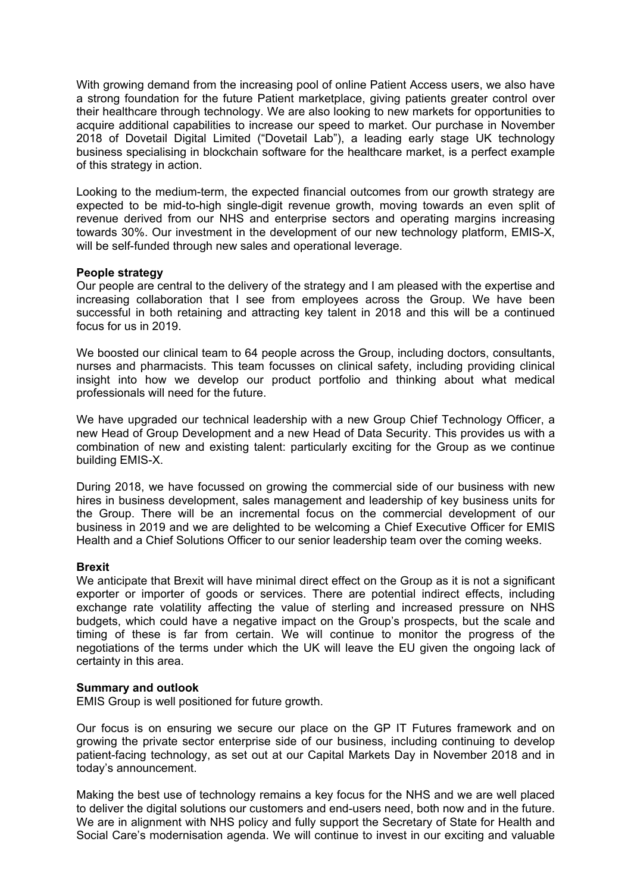With growing demand from the increasing pool of online Patient Access users, we also have a strong foundation for the future Patient marketplace, giving patients greater control over their healthcare through technology. We are also looking to new markets for opportunities to acquire additional capabilities to increase our speed to market. Our purchase in November 2018 of Dovetail Digital Limited ("Dovetail Lab"), a leading early stage UK technology business specialising in blockchain software for the healthcare market, is a perfect example of this strategy in action.

Looking to the medium-term, the expected financial outcomes from our growth strategy are expected to be mid-to-high single-digit revenue growth, moving towards an even split of revenue derived from our NHS and enterprise sectors and operating margins increasing towards 30%. Our investment in the development of our new technology platform, EMIS-X, will be self-funded through new sales and operational leverage.

#### **People strategy**

Our people are central to the delivery of the strategy and I am pleased with the expertise and increasing collaboration that I see from employees across the Group. We have been successful in both retaining and attracting key talent in 2018 and this will be a continued focus for us in 2019.

We boosted our clinical team to 64 people across the Group, including doctors, consultants, nurses and pharmacists. This team focusses on clinical safety, including providing clinical insight into how we develop our product portfolio and thinking about what medical professionals will need for the future.

We have upgraded our technical leadership with a new Group Chief Technology Officer, a new Head of Group Development and a new Head of Data Security. This provides us with a combination of new and existing talent: particularly exciting for the Group as we continue building EMIS-X.

During 2018, we have focussed on growing the commercial side of our business with new hires in business development, sales management and leadership of key business units for the Group. There will be an incremental focus on the commercial development of our business in 2019 and we are delighted to be welcoming a Chief Executive Officer for EMIS Health and a Chief Solutions Officer to our senior leadership team over the coming weeks.

#### **Brexit**

We anticipate that Brexit will have minimal direct effect on the Group as it is not a significant exporter or importer of goods or services. There are potential indirect effects, including exchange rate volatility affecting the value of sterling and increased pressure on NHS budgets, which could have a negative impact on the Group's prospects, but the scale and timing of these is far from certain. We will continue to monitor the progress of the negotiations of the terms under which the UK will leave the EU given the ongoing lack of certainty in this area.

#### **Summary and outlook**

EMIS Group is well positioned for future growth.

Our focus is on ensuring we secure our place on the GP IT Futures framework and on growing the private sector enterprise side of our business, including continuing to develop patient-facing technology, as set out at our Capital Markets Day in November 2018 and in today's announcement.

Making the best use of technology remains a key focus for the NHS and we are well placed to deliver the digital solutions our customers and end-users need, both now and in the future. We are in alignment with NHS policy and fully support the Secretary of State for Health and Social Care's modernisation agenda. We will continue to invest in our exciting and valuable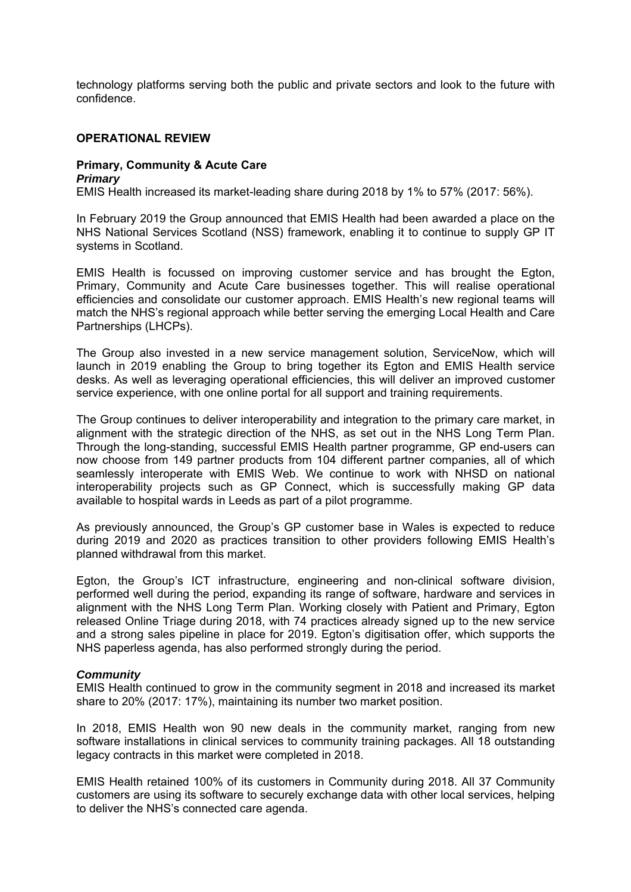technology platforms serving both the public and private sectors and look to the future with confidence.

#### **OPERATIONAL REVIEW**

#### **Primary, Community & Acute Care**  *Primary*

EMIS Health increased its market-leading share during 2018 by 1% to 57% (2017: 56%).

In February 2019 the Group announced that EMIS Health had been awarded a place on the NHS National Services Scotland (NSS) framework, enabling it to continue to supply GP IT systems in Scotland.

EMIS Health is focussed on improving customer service and has brought the Egton, Primary, Community and Acute Care businesses together. This will realise operational efficiencies and consolidate our customer approach. EMIS Health's new regional teams will match the NHS's regional approach while better serving the emerging Local Health and Care Partnerships (LHCPs).

The Group also invested in a new service management solution, ServiceNow, which will launch in 2019 enabling the Group to bring together its Egton and EMIS Health service desks. As well as leveraging operational efficiencies, this will deliver an improved customer service experience, with one online portal for all support and training requirements.

The Group continues to deliver interoperability and integration to the primary care market, in alignment with the strategic direction of the NHS, as set out in the NHS Long Term Plan. Through the long-standing, successful EMIS Health partner programme, GP end-users can now choose from 149 partner products from 104 different partner companies, all of which seamlessly interoperate with EMIS Web. We continue to work with NHSD on national interoperability projects such as GP Connect, which is successfully making GP data available to hospital wards in Leeds as part of a pilot programme.

As previously announced, the Group's GP customer base in Wales is expected to reduce during 2019 and 2020 as practices transition to other providers following EMIS Health's planned withdrawal from this market.

Egton, the Group's ICT infrastructure, engineering and non-clinical software division, performed well during the period, expanding its range of software, hardware and services in alignment with the NHS Long Term Plan. Working closely with Patient and Primary, Egton released Online Triage during 2018, with 74 practices already signed up to the new service and a strong sales pipeline in place for 2019. Egton's digitisation offer, which supports the NHS paperless agenda, has also performed strongly during the period.

#### *Community*

EMIS Health continued to grow in the community segment in 2018 and increased its market share to 20% (2017: 17%), maintaining its number two market position.

In 2018, EMIS Health won 90 new deals in the community market, ranging from new software installations in clinical services to community training packages. All 18 outstanding legacy contracts in this market were completed in 2018.

EMIS Health retained 100% of its customers in Community during 2018. All 37 Community customers are using its software to securely exchange data with other local services, helping to deliver the NHS's connected care agenda.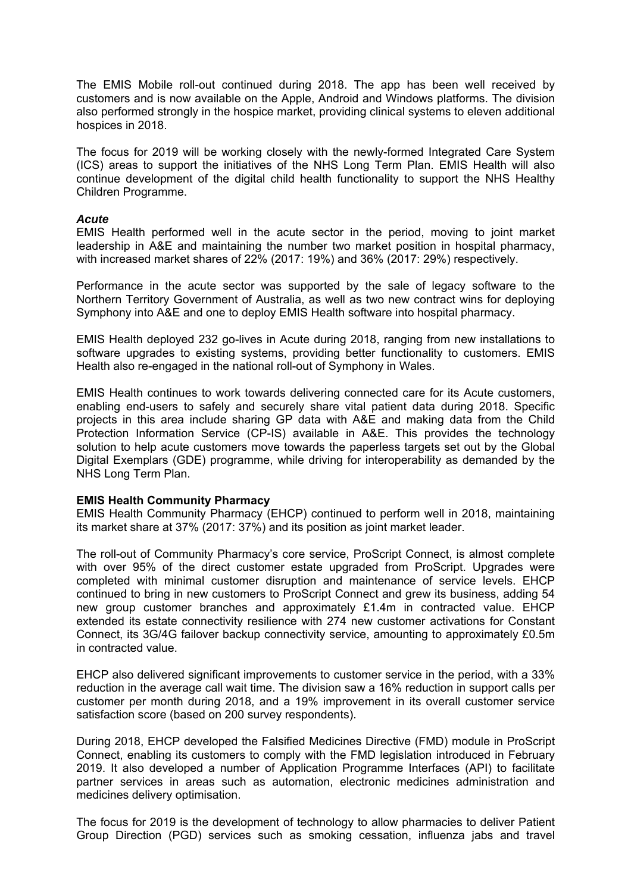The EMIS Mobile roll-out continued during 2018. The app has been well received by customers and is now available on the Apple, Android and Windows platforms. The division also performed strongly in the hospice market, providing clinical systems to eleven additional hospices in 2018.

The focus for 2019 will be working closely with the newly-formed Integrated Care System (ICS) areas to support the initiatives of the NHS Long Term Plan. EMIS Health will also continue development of the digital child health functionality to support the NHS Healthy Children Programme.

#### *Acute*

EMIS Health performed well in the acute sector in the period, moving to joint market leadership in A&E and maintaining the number two market position in hospital pharmacy, with increased market shares of 22% (2017: 19%) and 36% (2017: 29%) respectively.

Performance in the acute sector was supported by the sale of legacy software to the Northern Territory Government of Australia, as well as two new contract wins for deploying Symphony into A&E and one to deploy EMIS Health software into hospital pharmacy.

EMIS Health deployed 232 go-lives in Acute during 2018, ranging from new installations to software upgrades to existing systems, providing better functionality to customers. EMIS Health also re-engaged in the national roll-out of Symphony in Wales.

EMIS Health continues to work towards delivering connected care for its Acute customers, enabling end-users to safely and securely share vital patient data during 2018. Specific projects in this area include sharing GP data with A&E and making data from the Child Protection Information Service (CP-IS) available in A&E. This provides the technology solution to help acute customers move towards the paperless targets set out by the Global Digital Exemplars (GDE) programme, while driving for interoperability as demanded by the NHS Long Term Plan.

#### **EMIS Health Community Pharmacy**

EMIS Health Community Pharmacy (EHCP) continued to perform well in 2018, maintaining its market share at 37% (2017: 37%) and its position as joint market leader.

The roll-out of Community Pharmacy's core service, ProScript Connect, is almost complete with over 95% of the direct customer estate upgraded from ProScript. Upgrades were completed with minimal customer disruption and maintenance of service levels. EHCP continued to bring in new customers to ProScript Connect and grew its business, adding 54 new group customer branches and approximately £1.4m in contracted value. EHCP extended its estate connectivity resilience with 274 new customer activations for Constant Connect, its 3G/4G failover backup connectivity service, amounting to approximately £0.5m in contracted value.

EHCP also delivered significant improvements to customer service in the period, with a 33% reduction in the average call wait time. The division saw a 16% reduction in support calls per customer per month during 2018, and a 19% improvement in its overall customer service satisfaction score (based on 200 survey respondents).

During 2018, EHCP developed the Falsified Medicines Directive (FMD) module in ProScript Connect, enabling its customers to comply with the FMD legislation introduced in February 2019. It also developed a number of Application Programme Interfaces (API) to facilitate partner services in areas such as automation, electronic medicines administration and medicines delivery optimisation.

The focus for 2019 is the development of technology to allow pharmacies to deliver Patient Group Direction (PGD) services such as smoking cessation, influenza jabs and travel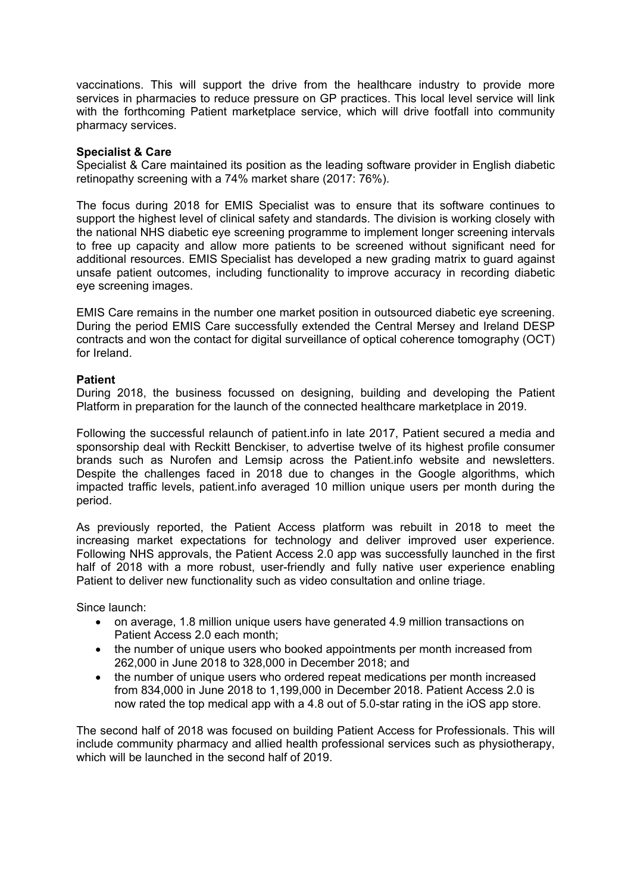vaccinations. This will support the drive from the healthcare industry to provide more services in pharmacies to reduce pressure on GP practices. This local level service will link with the forthcoming Patient marketplace service, which will drive footfall into community pharmacy services.

## **Specialist & Care**

Specialist & Care maintained its position as the leading software provider in English diabetic retinopathy screening with a 74% market share (2017: 76%).

The focus during 2018 for EMIS Specialist was to ensure that its software continues to support the highest level of clinical safety and standards. The division is working closely with the national NHS diabetic eye screening programme to implement longer screening intervals to free up capacity and allow more patients to be screened without significant need for additional resources. EMIS Specialist has developed a new grading matrix to guard against unsafe patient outcomes, including functionality to improve accuracy in recording diabetic eye screening images.

EMIS Care remains in the number one market position in outsourced diabetic eye screening. During the period EMIS Care successfully extended the Central Mersey and Ireland DESP contracts and won the contact for digital surveillance of optical coherence tomography (OCT) for Ireland.

## **Patient**

During 2018, the business focussed on designing, building and developing the Patient Platform in preparation for the launch of the connected healthcare marketplace in 2019.

Following the successful relaunch of patient.info in late 2017, Patient secured a media and sponsorship deal with Reckitt Benckiser, to advertise twelve of its highest profile consumer brands such as Nurofen and Lemsip across the Patient.info website and newsletters. Despite the challenges faced in 2018 due to changes in the Google algorithms, which impacted traffic levels, patient.info averaged 10 million unique users per month during the period.

As previously reported, the Patient Access platform was rebuilt in 2018 to meet the increasing market expectations for technology and deliver improved user experience. Following NHS approvals, the Patient Access 2.0 app was successfully launched in the first half of 2018 with a more robust, user-friendly and fully native user experience enabling Patient to deliver new functionality such as video consultation and online triage.

Since launch:

- on average, 1.8 million unique users have generated 4.9 million transactions on Patient Access 2.0 each month;
- the number of unique users who booked appointments per month increased from 262,000 in June 2018 to 328,000 in December 2018; and
- the number of unique users who ordered repeat medications per month increased from 834,000 in June 2018 to 1,199,000 in December 2018. Patient Access 2.0 is now rated the top medical app with a 4.8 out of 5.0-star rating in the iOS app store.

The second half of 2018 was focused on building Patient Access for Professionals. This will include community pharmacy and allied health professional services such as physiotherapy, which will be launched in the second half of 2019.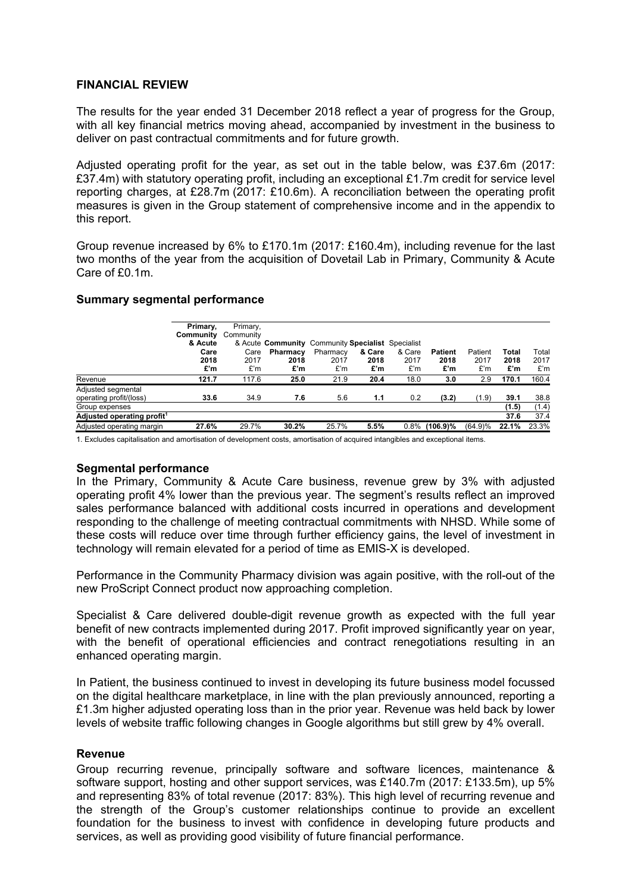## **FINANCIAL REVIEW**

The results for the year ended 31 December 2018 reflect a year of progress for the Group, with all key financial metrics moving ahead, accompanied by investment in the business to deliver on past contractual commitments and for future growth.

Adjusted operating profit for the year, as set out in the table below, was £37.6m (2017: £37.4m) with statutory operating profit, including an exceptional £1.7m credit for service level reporting charges, at £28.7m (2017: £10.6m). A reconciliation between the operating profit measures is given in the Group statement of comprehensive income and in the appendix to this report.

Group revenue increased by 6% to £170.1m (2017: £160.4m), including revenue for the last two months of the year from the acquisition of Dovetail Lab in Primary, Community & Acute Care of £0.1m.

#### **Summary segmental performance**

|                                               | Primary,<br>Community<br>& Acute<br>Care<br>2018<br>£'m | Primary,<br>Community<br>Care<br>2017<br>£'m | & Acute Community<br>Pharmacy<br>2018<br>£'m | Community Specialist Specialist<br>Pharmacy<br>2017<br>£'m | & Care<br>2018<br>£'m | & Care<br>2017<br>£'m | <b>Patient</b><br>2018<br>£'m | Patient<br>2017<br>£'m | Total<br>2018<br>£'m | Total<br>2017<br>£'m |
|-----------------------------------------------|---------------------------------------------------------|----------------------------------------------|----------------------------------------------|------------------------------------------------------------|-----------------------|-----------------------|-------------------------------|------------------------|----------------------|----------------------|
| Revenue                                       | 121.7                                                   | 117.6                                        | 25.0                                         | 21.9                                                       | 20.4                  | 18.0                  | 3.0                           | 2.9                    | 170.1                | 160.4                |
| Adjusted segmental<br>operating profit/(loss) | 33.6                                                    | 34.9                                         | 7.6                                          | 5.6                                                        | 1.1                   | 0.2                   | (3.2)                         | (1.9)                  | 39.1                 | 38.8                 |
| Group expenses                                |                                                         |                                              |                                              |                                                            |                       |                       |                               |                        | (1.5)                | (1.4)                |
| Adjusted operating profit <sup>1</sup>        |                                                         |                                              |                                              |                                                            |                       |                       |                               |                        | 37.6                 | 37.4                 |
| Adjusted operating margin                     | 27.6%                                                   | 29.7%                                        | 30.2%                                        | 25.7%                                                      | 5.5%                  | $0.8\%$               | $(106.9)\%$                   | (64.9)%                | 22.1%                | 23.3%                |

1. Excludes capitalisation and amortisation of development costs, amortisation of acquired intangibles and exceptional items.

#### **Segmental performance**

In the Primary, Community & Acute Care business, revenue grew by 3% with adjusted operating profit 4% lower than the previous year. The segment's results reflect an improved sales performance balanced with additional costs incurred in operations and development responding to the challenge of meeting contractual commitments with NHSD. While some of these costs will reduce over time through further efficiency gains, the level of investment in technology will remain elevated for a period of time as EMIS-X is developed.

Performance in the Community Pharmacy division was again positive, with the roll-out of the new ProScript Connect product now approaching completion.

Specialist & Care delivered double-digit revenue growth as expected with the full year benefit of new contracts implemented during 2017. Profit improved significantly year on year, with the benefit of operational efficiencies and contract renegotiations resulting in an enhanced operating margin.

In Patient, the business continued to invest in developing its future business model focussed on the digital healthcare marketplace, in line with the plan previously announced, reporting a £1.3m higher adjusted operating loss than in the prior year. Revenue was held back by lower levels of website traffic following changes in Google algorithms but still grew by 4% overall.

#### **Revenue**

Group recurring revenue, principally software and software licences, maintenance & software support, hosting and other support services, was £140.7m (2017: £133.5m), up 5% and representing 83% of total revenue (2017: 83%). This high level of recurring revenue and the strength of the Group's customer relationships continue to provide an excellent foundation for the business to invest with confidence in developing future products and services, as well as providing good visibility of future financial performance.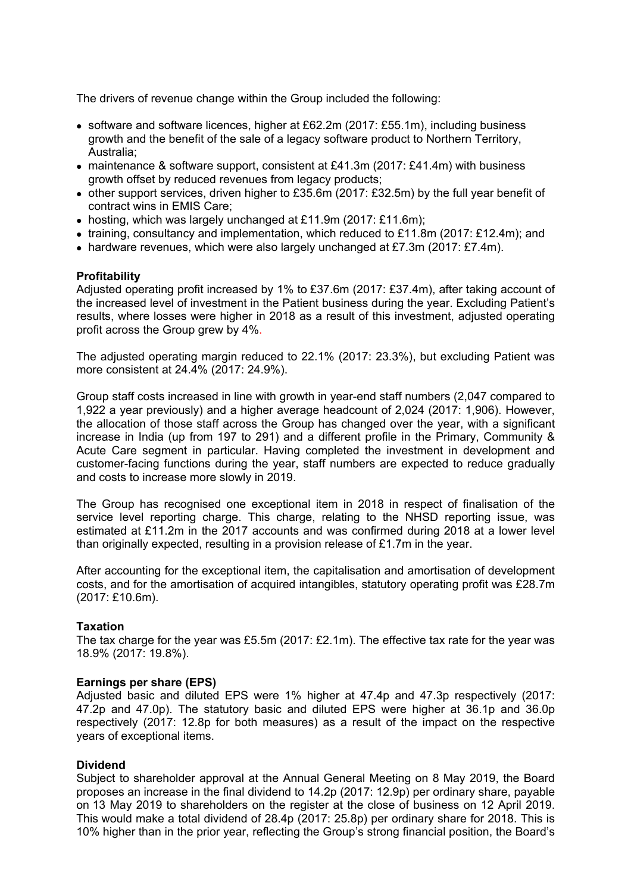The drivers of revenue change within the Group included the following:

- software and software licences, higher at £62.2m (2017: £55.1m), including business growth and the benefit of the sale of a legacy software product to Northern Territory, Australia;
- maintenance & software support, consistent at £41.3m (2017: £41.4m) with business growth offset by reduced revenues from legacy products;
- $\bullet$  other support services, driven higher to £35.6m (2017: £32.5m) by the full year benefit of contract wins in EMIS Care;
- hosting, which was largely unchanged at £11.9m (2017: £11.6m);
- training, consultancy and implementation, which reduced to £11.8m (2017: £12.4m); and
- hardware revenues, which were also largely unchanged at £7.3m (2017: £7.4m).

## **Profitability**

Adjusted operating profit increased by 1% to £37.6m (2017: £37.4m), after taking account of the increased level of investment in the Patient business during the year. Excluding Patient's results, where losses were higher in 2018 as a result of this investment, adjusted operating profit across the Group grew by 4%.

The adjusted operating margin reduced to 22.1% (2017: 23.3%), but excluding Patient was more consistent at 24.4% (2017: 24.9%).

Group staff costs increased in line with growth in year-end staff numbers (2,047 compared to 1,922 a year previously) and a higher average headcount of 2,024 (2017: 1,906). However, the allocation of those staff across the Group has changed over the year, with a significant increase in India (up from 197 to 291) and a different profile in the Primary, Community & Acute Care segment in particular. Having completed the investment in development and customer-facing functions during the year, staff numbers are expected to reduce gradually and costs to increase more slowly in 2019.

The Group has recognised one exceptional item in 2018 in respect of finalisation of the service level reporting charge. This charge, relating to the NHSD reporting issue, was estimated at £11.2m in the 2017 accounts and was confirmed during 2018 at a lower level than originally expected, resulting in a provision release of £1.7m in the year.

After accounting for the exceptional item, the capitalisation and amortisation of development costs, and for the amortisation of acquired intangibles, statutory operating profit was £28.7m (2017: £10.6m).

#### **Taxation**

The tax charge for the year was £5.5m (2017: £2.1m). The effective tax rate for the year was 18.9% (2017: 19.8%).

#### **Earnings per share (EPS)**

Adjusted basic and diluted EPS were 1% higher at 47.4p and 47.3p respectively (2017: 47.2p and 47.0p). The statutory basic and diluted EPS were higher at 36.1p and 36.0p respectively (2017: 12.8p for both measures) as a result of the impact on the respective years of exceptional items.

#### **Dividend**

Subject to shareholder approval at the Annual General Meeting on 8 May 2019, the Board proposes an increase in the final dividend to 14.2p (2017: 12.9p) per ordinary share, payable on 13 May 2019 to shareholders on the register at the close of business on 12 April 2019. This would make a total dividend of 28.4p (2017: 25.8p) per ordinary share for 2018. This is 10% higher than in the prior year, reflecting the Group's strong financial position, the Board's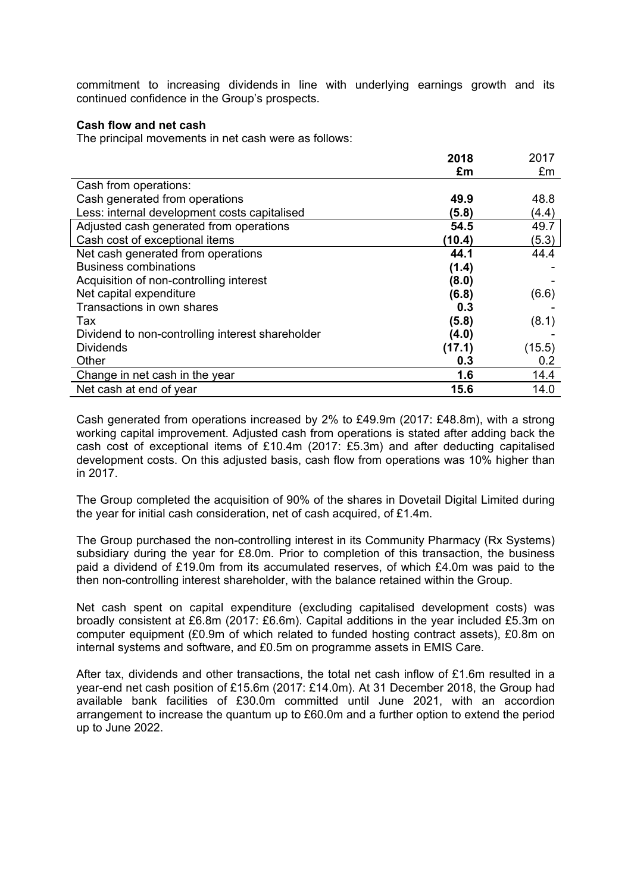commitment to increasing dividends in line with underlying earnings growth and its continued confidence in the Group's prospects.

#### **Cash flow and net cash**

The principal movements in net cash were as follows:

|                                                  | 2018   | 2017   |
|--------------------------------------------------|--------|--------|
|                                                  | £m     | £m     |
| Cash from operations:                            |        |        |
| Cash generated from operations                   | 49.9   | 48.8   |
| Less: internal development costs capitalised     | (5.8)  | (4.4)  |
| Adjusted cash generated from operations          | 54.5   | 49.7   |
| Cash cost of exceptional items                   | (10.4) | (5.3)  |
| Net cash generated from operations               | 44.1   | 44.4   |
| <b>Business combinations</b>                     | (1.4)  |        |
| Acquisition of non-controlling interest          | (8.0)  |        |
| Net capital expenditure                          | (6.8)  | (6.6)  |
| Transactions in own shares                       | 0.3    |        |
| Tax                                              | (5.8)  | (8.1)  |
| Dividend to non-controlling interest shareholder | (4.0)  |        |
| <b>Dividends</b>                                 | (17.1) | (15.5) |
| Other                                            | 0.3    | 0.2    |
| Change in net cash in the year                   | 1.6    | 14.4   |
| Net cash at end of year                          | 15.6   | 14.0   |

Cash generated from operations increased by 2% to £49.9m (2017: £48.8m), with a strong working capital improvement. Adjusted cash from operations is stated after adding back the cash cost of exceptional items of £10.4m (2017: £5.3m) and after deducting capitalised development costs. On this adjusted basis, cash flow from operations was 10% higher than in 2017.

The Group completed the acquisition of 90% of the shares in Dovetail Digital Limited during the year for initial cash consideration, net of cash acquired, of £1.4m.

The Group purchased the non-controlling interest in its Community Pharmacy (Rx Systems) subsidiary during the year for £8.0m. Prior to completion of this transaction, the business paid a dividend of £19.0m from its accumulated reserves, of which £4.0m was paid to the then non-controlling interest shareholder, with the balance retained within the Group.

Net cash spent on capital expenditure (excluding capitalised development costs) was broadly consistent at £6.8m (2017: £6.6m). Capital additions in the year included £5.3m on computer equipment (£0.9m of which related to funded hosting contract assets), £0.8m on internal systems and software, and £0.5m on programme assets in EMIS Care.

After tax, dividends and other transactions, the total net cash inflow of £1.6m resulted in a year-end net cash position of £15.6m (2017: £14.0m). At 31 December 2018, the Group had available bank facilities of £30.0m committed until June 2021, with an accordion arrangement to increase the quantum up to £60.0m and a further option to extend the period up to June 2022.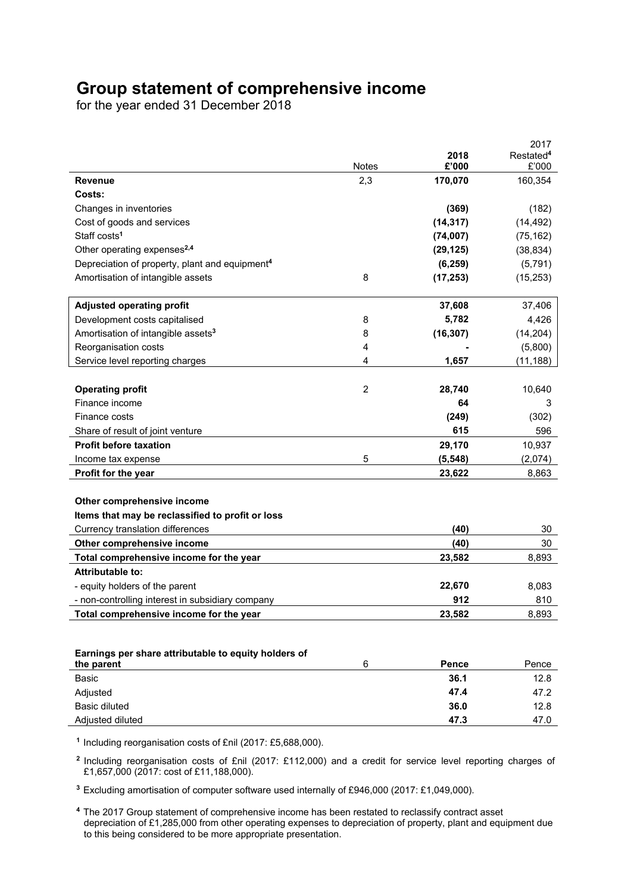# **Group statement of comprehensive income**

for the year ended 31 December 2018

|                                                            |                |           | 2017                  |
|------------------------------------------------------------|----------------|-----------|-----------------------|
|                                                            |                | 2018      | Restated <sup>4</sup> |
|                                                            | <b>Notes</b>   | £'000     | £'000                 |
| <b>Revenue</b>                                             | 2,3            | 170,070   | 160,354               |
| Costs:                                                     |                |           |                       |
| Changes in inventories                                     |                | (369)     | (182)                 |
| Cost of goods and services                                 |                | (14, 317) | (14, 492)             |
| Staff costs <sup>1</sup>                                   |                | (74, 007) | (75, 162)             |
| Other operating expenses <sup>2,4</sup>                    |                | (29, 125) | (38, 834)             |
| Depreciation of property, plant and equipment <sup>4</sup> |                | (6, 259)  | (5, 791)              |
| Amortisation of intangible assets                          | 8              | (17, 253) | (15, 253)             |
| <b>Adjusted operating profit</b>                           |                | 37,608    | 37,406                |
| Development costs capitalised                              | 8              | 5,782     | 4,426                 |
| Amortisation of intangible assets <sup>3</sup>             | 8              | (16, 307) | (14, 204)             |
| Reorganisation costs                                       | 4              |           | (5,800)               |
| Service level reporting charges                            | 4              | 1,657     | (11, 188)             |
|                                                            |                |           |                       |
| <b>Operating profit</b>                                    | $\overline{2}$ | 28,740    | 10,640                |
| Finance income                                             |                | 64        | 3                     |
| Finance costs                                              |                | (249)     | (302)                 |
| Share of result of joint venture                           |                | 615       | 596                   |
| <b>Profit before taxation</b>                              |                | 29,170    | 10,937                |
| Income tax expense                                         | 5              | (5, 548)  | (2,074)               |
| Profit for the year                                        |                | 23,622    | 8,863                 |
|                                                            |                |           |                       |
| Other comprehensive income                                 |                |           |                       |
| Items that may be reclassified to profit or loss           |                |           |                       |
| Currency translation differences                           |                | (40)      | 30                    |
| Other comprehensive income                                 |                | (40)      | 30                    |
| Total comprehensive income for the year                    |                | 23,582    | 8,893                 |
| <b>Attributable to:</b>                                    |                |           |                       |
| - equity holders of the parent                             |                | 22,670    | 8,083                 |
| - non-controlling interest in subsidiary company           |                | 912       | 810                   |
| Total comprehensive income for the year                    |                | 23,582    | 8,893                 |
|                                                            |                |           |                       |
| Earnings per share attributable to equity holders of       |                |           |                       |
| the parent                                                 | 6              | Pence     | Pence                 |
| Basic                                                      |                | 36.1      | 12.8                  |
| Adjusted                                                   |                | 47.4      | 47.2                  |
| <b>Basic diluted</b>                                       |                | 36.0      | 12.8                  |
| Adjusted diluted                                           |                | 47.3      | 47.0                  |

**<sup>1</sup>**Including reorganisation costs of £nil (2017: £5,688,000).

**<sup>2</sup>**Including reorganisation costs of £nil (2017: £112,000) and a credit for service level reporting charges of £1,657,000 (2017: cost of £11,188,000).

**<sup>3</sup>**Excluding amortisation of computer software used internally of £946,000 (2017: £1,049,000).

**<sup>4</sup>**The 2017 Group statement of comprehensive income has been restated to reclassify contract asset depreciation of £1,285,000 from other operating expenses to depreciation of property, plant and equipment due to this being considered to be more appropriate presentation.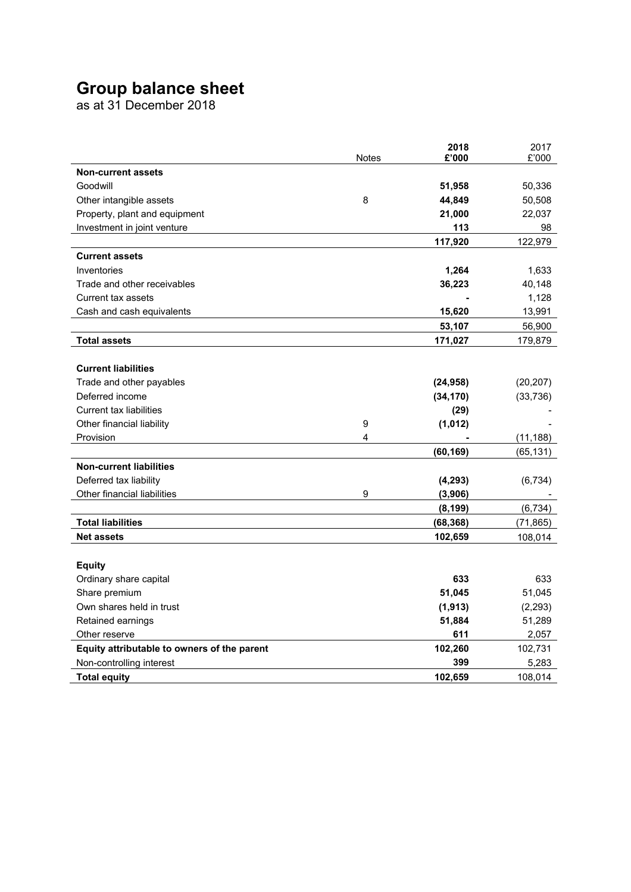# **Group balance sheet**

as at 31 December 2018

|                                             | <b>Notes</b> | 2018<br>£'000 | 2017<br>£'000 |
|---------------------------------------------|--------------|---------------|---------------|
| <b>Non-current assets</b>                   |              |               |               |
| Goodwill                                    |              | 51,958        | 50,336        |
| Other intangible assets                     | 8            | 44,849        | 50,508        |
| Property, plant and equipment               |              | 21,000        | 22,037        |
| Investment in joint venture                 |              | 113           | 98            |
|                                             |              | 117,920       | 122,979       |
| <b>Current assets</b>                       |              |               |               |
| Inventories                                 |              | 1,264         | 1,633         |
| Trade and other receivables                 |              | 36,223        | 40,148        |
| Current tax assets                          |              |               | 1,128         |
| Cash and cash equivalents                   |              | 15,620        | 13,991        |
|                                             |              | 53,107        | 56,900        |
| <b>Total assets</b>                         |              | 171,027       | 179,879       |
|                                             |              |               |               |
| <b>Current liabilities</b>                  |              |               |               |
| Trade and other payables                    |              | (24, 958)     | (20, 207)     |
| Deferred income                             |              | (34, 170)     | (33, 736)     |
| <b>Current tax liabilities</b>              |              | (29)          |               |
| Other financial liability                   | 9            | (1,012)       |               |
| Provision                                   | 4            |               | (11, 188)     |
|                                             |              | (60, 169)     | (65, 131)     |
| <b>Non-current liabilities</b>              |              |               |               |
| Deferred tax liability                      |              | (4, 293)      | (6,734)       |
| Other financial liabilities                 | 9            | (3,906)       |               |
|                                             |              | (8, 199)      | (6, 734)      |
| <b>Total liabilities</b>                    |              | (68, 368)     | (71, 865)     |
| <b>Net assets</b>                           |              | 102,659       | 108,014       |
|                                             |              |               |               |
| <b>Equity</b>                               |              |               |               |
| Ordinary share capital                      |              | 633           | 633           |
| Share premium                               |              | 51,045        | 51,045        |
| Own shares held in trust                    |              | (1, 913)      | (2, 293)      |
| Retained earnings                           |              | 51,884        | 51,289        |
| Other reserve                               |              | 611           | 2,057         |
| Equity attributable to owners of the parent |              | 102,260       | 102,731       |
| Non-controlling interest                    |              | 399           | 5,283         |
| <b>Total equity</b>                         |              | 102,659       | 108,014       |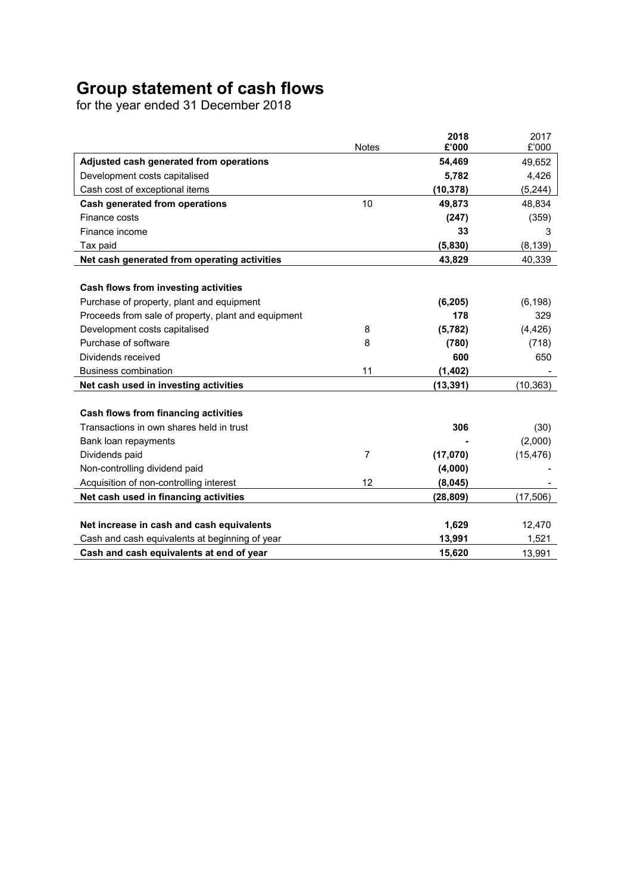# **Group statement of cash flows**

for the year ended 31 December 2018

|                                                     |              | 2018            | 2017            |
|-----------------------------------------------------|--------------|-----------------|-----------------|
|                                                     | <b>Notes</b> | £'000<br>54,469 | £'000<br>49,652 |
| Adjusted cash generated from operations             |              |                 |                 |
| Development costs capitalised                       |              | 5,782           | 4,426           |
| Cash cost of exceptional items                      |              | (10, 378)       | (5, 244)        |
| <b>Cash generated from operations</b>               | 10           | 49,873          | 48,834          |
| Finance costs                                       |              | (247)           | (359)           |
| Finance income                                      |              | 33              | З               |
| Tax paid                                            |              | (5,830)         | (8, 139)        |
| Net cash generated from operating activities        |              | 43,829          | 40,339          |
| Cash flows from investing activities                |              |                 |                 |
| Purchase of property, plant and equipment           |              | (6, 205)        | (6, 198)        |
| Proceeds from sale of property, plant and equipment |              | 178             | 329             |
| Development costs capitalised                       | 8            | (5, 782)        | (4, 426)        |
| Purchase of software                                | 8            | (780)           | (718)           |
| Dividends received                                  |              | 600             | 650             |
| <b>Business combination</b>                         | 11           | (1, 402)        |                 |
| Net cash used in investing activities               |              | (13,391)        | (10,363)        |
|                                                     |              |                 |                 |
| Cash flows from financing activities                |              |                 |                 |
| Transactions in own shares held in trust            |              | 306             | (30)            |
| Bank loan repayments                                |              |                 | (2,000)         |
| Dividends paid                                      | 7            | (17,070)        | (15, 476)       |
| Non-controlling dividend paid                       |              | (4,000)         |                 |
| Acquisition of non-controlling interest             | 12           | (8,045)         |                 |
| Net cash used in financing activities               |              | (28, 809)       | (17, 506)       |
|                                                     |              |                 |                 |
| Net increase in cash and cash equivalents           |              | 1,629           | 12,470          |
| Cash and cash equivalents at beginning of year      |              | 13,991          | 1,521           |
| Cash and cash equivalents at end of year            |              | 15,620          | 13,991          |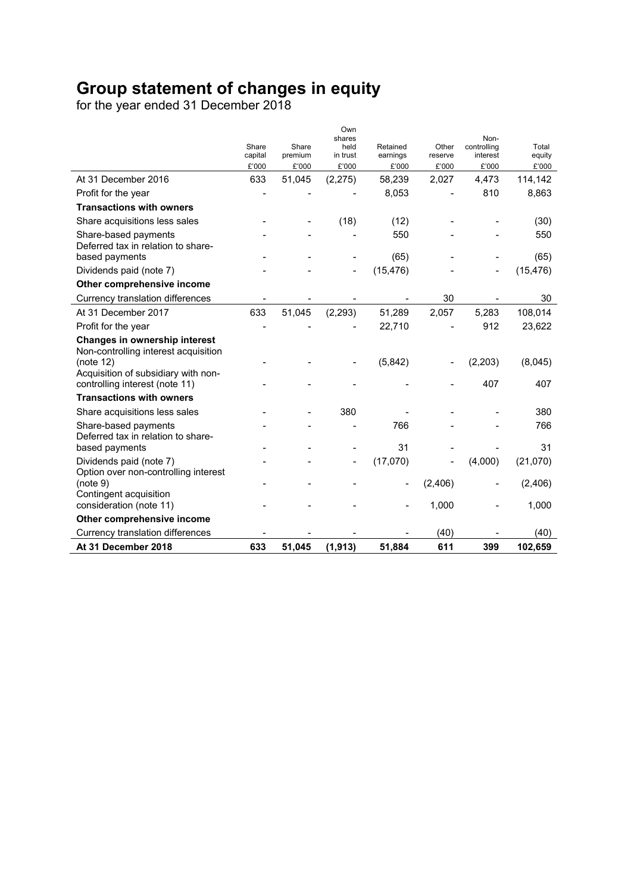# **Group statement of changes in equity**

for the year ended 31 December 2018

|                                                                       |                  |                  | Own<br>shares     |                   |                  | Non-              |                 |
|-----------------------------------------------------------------------|------------------|------------------|-------------------|-------------------|------------------|-------------------|-----------------|
|                                                                       | Share            | Share            | held              | Retained          | Other            | controlling       | Total           |
|                                                                       | capital<br>£'000 | premium<br>£'000 | in trust<br>£'000 | earnings<br>£'000 | reserve<br>£'000 | interest<br>£'000 | equity<br>£'000 |
| At 31 December 2016                                                   | 633              | 51,045           | (2, 275)          | 58,239            | 2,027            | 4,473             | 114,142         |
| Profit for the year                                                   |                  |                  |                   | 8,053             |                  | 810               | 8,863           |
| <b>Transactions with owners</b>                                       |                  |                  |                   |                   |                  |                   |                 |
| Share acquisitions less sales                                         |                  |                  | (18)              | (12)              |                  |                   | (30)            |
|                                                                       |                  |                  |                   | 550               |                  |                   | 550             |
| Share-based payments<br>Deferred tax in relation to share-            |                  |                  |                   |                   |                  |                   |                 |
| based payments                                                        |                  |                  |                   | (65)              |                  |                   | (65)            |
| Dividends paid (note 7)                                               |                  |                  |                   | (15, 476)         |                  |                   | (15, 476)       |
| Other comprehensive income                                            |                  |                  |                   |                   |                  |                   |                 |
| Currency translation differences                                      |                  |                  |                   |                   | 30               |                   | 30              |
| At 31 December 2017                                                   | 633              | 51,045           | (2, 293)          | 51,289            | 2,057            | 5,283             | 108,014         |
| Profit for the year                                                   |                  |                  |                   | 22,710            |                  | 912               | 23,622          |
| Changes in ownership interest<br>Non-controlling interest acquisition |                  |                  |                   |                   |                  |                   |                 |
| (note 12)                                                             |                  |                  |                   | (5,842)           |                  | (2,203)           | (8,045)         |
| Acquisition of subsidiary with non-<br>controlling interest (note 11) |                  |                  |                   |                   |                  | 407               | 407             |
| <b>Transactions with owners</b>                                       |                  |                  |                   |                   |                  |                   |                 |
| Share acquisitions less sales                                         |                  |                  | 380               |                   |                  |                   | 380             |
| Share-based payments<br>Deferred tax in relation to share-            |                  |                  |                   | 766               |                  |                   | 766             |
| based payments                                                        |                  |                  |                   | 31                |                  |                   | 31              |
| Dividends paid (note 7)                                               |                  |                  |                   | (17,070)          |                  | (4,000)           | (21,070)        |
| Option over non-controlling interest<br>(note 9)                      |                  |                  |                   |                   | (2, 406)         |                   | (2,406)         |
| Contingent acquisition                                                |                  |                  |                   |                   |                  |                   |                 |
| consideration (note 11)                                               |                  |                  |                   |                   | 1,000            |                   | 1,000           |
| Other comprehensive income                                            |                  |                  |                   |                   |                  |                   |                 |
| Currency translation differences                                      |                  |                  |                   |                   | (40)             |                   | (40)            |
| At 31 December 2018                                                   | 633              | 51,045           | (1, 913)          | 51,884            | 611              | 399               | 102,659         |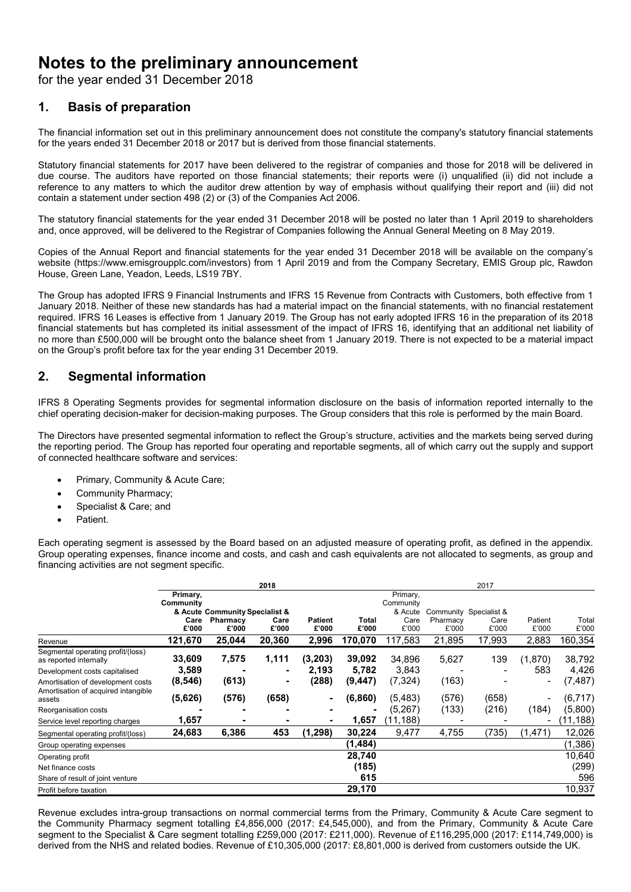# **Notes to the preliminary announcement**

for the year ended 31 December 2018

# **1. Basis of preparation**

The financial information set out in this preliminary announcement does not constitute the company's statutory financial statements for the years ended 31 December 2018 or 2017 but is derived from those financial statements.

Statutory financial statements for 2017 have been delivered to the registrar of companies and those for 2018 will be delivered in due course. The auditors have reported on those financial statements; their reports were (i) unqualified (ii) did not include a reference to any matters to which the auditor drew attention by way of emphasis without qualifying their report and (iii) did not contain a statement under section 498 (2) or (3) of the Companies Act 2006.

The statutory financial statements for the year ended 31 December 2018 will be posted no later than 1 April 2019 to shareholders and, once approved, will be delivered to the Registrar of Companies following the Annual General Meeting on 8 May 2019.

Copies of the Annual Report and financial statements for the year ended 31 December 2018 will be available on the company's website (https://www.emisgroupplc.com/investors) from 1 April 2019 and from the Company Secretary, EMIS Group plc, Rawdon House, Green Lane, Yeadon, Leeds, LS19 7BY.

The Group has adopted IFRS 9 Financial Instruments and IFRS 15 Revenue from Contracts with Customers, both effective from 1 January 2018. Neither of these new standards has had a material impact on the financial statements, with no financial restatement required. IFRS 16 Leases is effective from 1 January 2019. The Group has not early adopted IFRS 16 in the preparation of its 2018 financial statements but has completed its initial assessment of the impact of IFRS 16, identifying that an additional net liability of no more than £500,000 will be brought onto the balance sheet from 1 January 2019. There is not expected to be a material impact on the Group's profit before tax for the year ending 31 December 2019.

# **2. Segmental information**

IFRS 8 Operating Segments provides for segmental information disclosure on the basis of information reported internally to the chief operating decision-maker for decision-making purposes. The Group considers that this role is performed by the main Board.

The Directors have presented segmental information to reflect the Group's structure, activities and the markets being served during the reporting period. The Group has reported four operating and reportable segments, all of which carry out the supply and support of connected healthcare software and services:

- Primary, Community & Acute Care;
- Community Pharmacy;
- Specialist & Care; and
- Patient.

Each operating segment is assessed by the Board based on an adjusted measure of operating profit, as defined in the appendix. Group operating expenses, finance income and costs, and cash and cash equivalents are not allocated to segments, as group and financing activities are not segment specific.

|                                                                          | 2018             |                                |                 |                |                  | 2017                 |                 |                        |                          |                  |
|--------------------------------------------------------------------------|------------------|--------------------------------|-----------------|----------------|------------------|----------------------|-----------------|------------------------|--------------------------|------------------|
|                                                                          | Primary,         |                                |                 |                |                  | Primary,             |                 |                        |                          |                  |
|                                                                          | Community        | & Acute Community Specialist & |                 |                |                  | Community<br>& Acute |                 | Community Specialist & |                          |                  |
|                                                                          | Care             | Pharmacy                       | Care            | <b>Patient</b> | <b>Total</b>     | Care                 | Pharmacy        | Care                   | Patient                  | Total            |
| Revenue                                                                  | £'000<br>121,670 | £'000<br>25,044                | £'000<br>20,360 | £'000<br>2,996 | £'000<br>170,070 | £'000<br>117,583     | £'000<br>21,895 | £'000<br>17,993        | £'000<br>2,883           | £'000<br>160,354 |
| Segmental operating profit/(loss)<br>as reported internally              | 33,609           | 7,575                          | 1,111           | (3, 203)       | 39,092           | 34,896               | 5,627           | 139                    | (1,870)                  | 38,792           |
| Development costs capitalised                                            | 3,589            |                                | ۰               | 2,193          | 5,782            | 3,843                |                 |                        | 583                      | 4,426            |
| Amortisation of development costs<br>Amortisation of acquired intangible | (8, 546)         | (613)                          | ٠               | (288)          | (9, 447)         | (7, 324)             | (163)           |                        | $\overline{\phantom{a}}$ | (7, 487)         |
| assets                                                                   | (5,626)          | (576)                          | (658)           | ۰              | (6,860)          | (5, 483)             | (576)           | (658)                  | $\overline{\phantom{a}}$ | (6, 717)         |
| Reorganisation costs                                                     |                  |                                |                 | -              |                  | (5,267)              | (133)           | (216)                  | (184)                    | (5,800)          |
| Service level reporting charges                                          | 1,657            |                                | -               |                | 1,657            | (11,188)             |                 |                        | $\overline{\phantom{0}}$ | (11, 188)        |
| Segmental operating profit/(loss)                                        | 24,683           | 6,386                          | 453             | (1, 298)       | 30,224           | 9,477                | 4,755           | (735)                  | (1, 471)                 | 12,026           |
| Group operating expenses                                                 |                  |                                |                 |                | (1,484)          |                      |                 |                        |                          | (1,386)          |
| Operating profit                                                         |                  |                                |                 |                | 28,740           |                      |                 |                        |                          | 10,640           |
| Net finance costs                                                        |                  |                                |                 |                | (185)            |                      |                 |                        |                          | (299)            |
| Share of result of joint venture                                         |                  |                                |                 |                | 615              |                      |                 |                        |                          | 596              |
| Profit before taxation                                                   |                  |                                |                 |                | 29,170           |                      |                 |                        |                          | 10,937           |

Revenue excludes intra-group transactions on normal commercial terms from the Primary, Community & Acute Care segment to the Community Pharmacy segment totalling £4,856,000 (2017: £4,545,000), and from the Primary, Community & Acute Care segment to the Specialist & Care segment totalling £259,000 (2017: £211,000). Revenue of £116,295,000 (2017: £114,749,000) is derived from the NHS and related bodies. Revenue of £10,305,000 (2017: £8,801,000 is derived from customers outside the UK.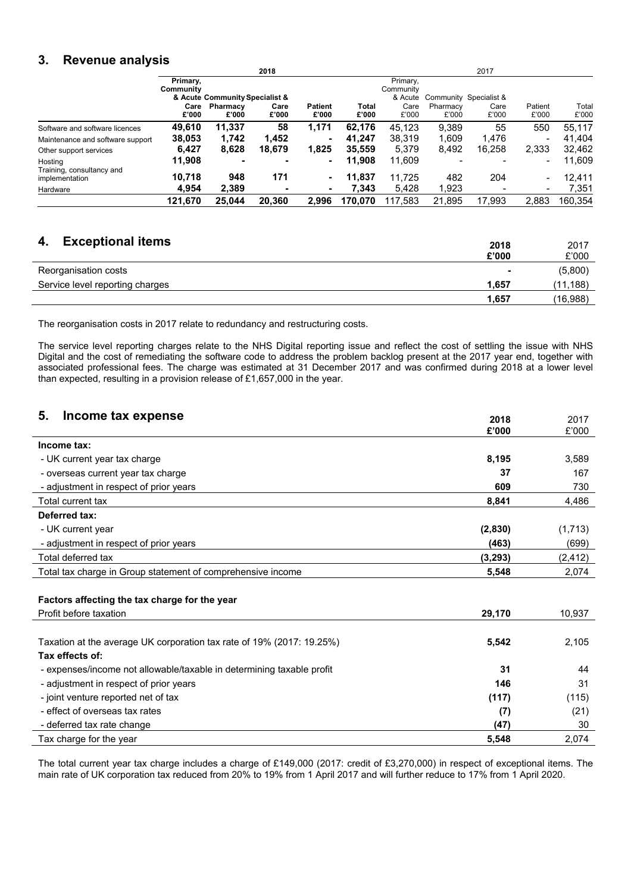# **3. Revenue analysis**

|                                             | 2018          |                                |               |                         | 2017                  |               |                   |                        |                          |                |
|---------------------------------------------|---------------|--------------------------------|---------------|-------------------------|-----------------------|---------------|-------------------|------------------------|--------------------------|----------------|
|                                             | Primary,      |                                |               |                         |                       | Primary,      |                   |                        |                          |                |
|                                             | Community     |                                |               |                         |                       | Community     |                   |                        |                          |                |
|                                             |               | & Acute Community Specialist & |               |                         |                       | & Acute       |                   | Community Specialist & |                          |                |
|                                             | Care<br>£'000 | Pharmacy<br>£'000              | Care<br>£'000 | <b>Patient</b><br>£'000 | <b>Total</b><br>£'000 | Care<br>£'000 | Pharmacy<br>£'000 | Care<br>£'000          | Patient<br>£'000         | Total<br>£'000 |
| Software and software licences              | 49,610        | 11,337                         | 58            | 1,171                   | 62,176                | 45.123        | 9,389             | 55                     | 550                      | 55.117         |
| Maintenance and software support            | 38,053        | 1.742                          | 1,452         | $\blacksquare$          | 41.247                | 38,319        | 1.609             | 1,476                  | $\blacksquare$           | 41.404         |
| Other support services                      | 6.427         | 8.628                          | 18.679        | 1,825                   | 35.559                | 5,379         | 8,492             | 16.258                 | 2,333                    | 32,462         |
| Hosting                                     | 11,908        |                                | -             | ۰                       | 11.908                | 11,609        |                   |                        | $\overline{\phantom{a}}$ | 11,609         |
| Training, consultancy and<br>implementation | 10.718        | 948                            | 171           | ۰.                      | 11.837                | 11.725        | 482               | 204                    | $\overline{\phantom{0}}$ | 12,411         |
| Hardware                                    | 4.954         | 2,389                          | -             |                         | 7,343                 | 5,428         | 1,923             |                        | $\overline{\phantom{a}}$ | 7,351          |
|                                             | 121,670       | 25.044                         | 20.360        | 2.996                   | 170.070               | 117,583       | 21,895            | 17,993                 | 2,883                    | 160.354        |

# **4. Exceptional items 2018**

| <b>Exceptional items</b>        | 2018<br>£'000 | 2017<br>£'000 |
|---------------------------------|---------------|---------------|
| Reorganisation costs            | -             | (5,800)       |
| Service level reporting charges | 1.657         | (11, 188)     |
|                                 | 1.657         | (16,988)      |

The reorganisation costs in 2017 relate to redundancy and restructuring costs.

The service level reporting charges relate to the NHS Digital reporting issue and reflect the cost of settling the issue with NHS Digital and the cost of remediating the software code to address the problem backlog present at the 2017 year end, together with associated professional fees. The charge was estimated at 31 December 2017 and was confirmed during 2018 at a lower level than expected, resulting in a provision release of £1,657,000 in the year.

| 5.<br>Income tax expense<br>2018<br>£'000                                      | 2017     |
|--------------------------------------------------------------------------------|----------|
|                                                                                | £'000    |
| Income tax:                                                                    |          |
| 8,195<br>- UK current year tax charge                                          | 3,589    |
| - overseas current year tax charge<br>37                                       | 167      |
| - adjustment in respect of prior years<br>609                                  | 730      |
| Total current tax<br>8,841                                                     | 4,486    |
| Deferred tax:                                                                  |          |
| - UK current year<br>(2,830)                                                   | (1,713)  |
| - adjustment in respect of prior years<br>(463)                                | (699)    |
| Total deferred tax<br>(3, 293)                                                 | (2, 412) |
| Total tax charge in Group statement of comprehensive income<br>5,548           | 2,074    |
|                                                                                |          |
| Factors affecting the tax charge for the year                                  |          |
| Profit before taxation<br>29,170                                               | 10,937   |
|                                                                                |          |
| Taxation at the average UK corporation tax rate of 19% (2017: 19.25%)<br>5,542 | 2,105    |
| Tax effects of:                                                                |          |
| - expenses/income not allowable/taxable in determining taxable profit<br>31    | 44       |
| 146<br>- adjustment in respect of prior years                                  | 31       |
| (117)<br>- joint venture reported net of tax                                   | (115)    |

Tax charge for the year **5,548** 2,074 The total current year tax charge includes a charge of £149,000 (2017: credit of £3,270,000) in respect of exceptional items. The main rate of UK corporation tax reduced from 20% to 19% from 1 April 2017 and will further reduce to 17% from 1 April 2020.

 - effect of overseas tax rates **(7)** (21) - deferred tax rate change **(47)** 30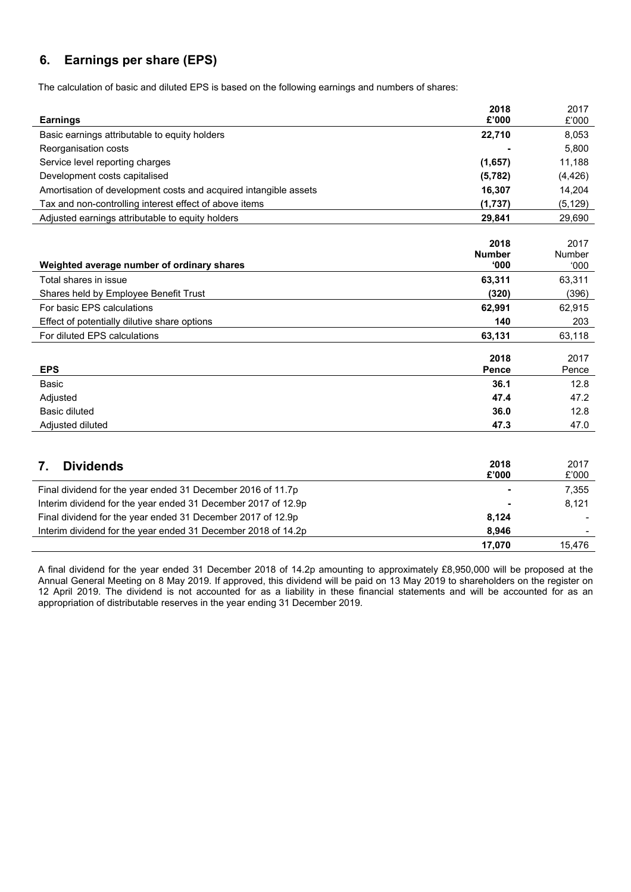# **6. Earnings per share (EPS)**

The calculation of basic and diluted EPS is based on the following earnings and numbers of shares:

| <b>Earnings</b>                                                  | 2018<br>£'000                 | 2017<br>£'000          |
|------------------------------------------------------------------|-------------------------------|------------------------|
| Basic earnings attributable to equity holders                    | 22,710                        | 8,053                  |
| Reorganisation costs                                             |                               | 5.800                  |
| Service level reporting charges                                  | (1,657)                       | 11,188                 |
| Development costs capitalised                                    | (5, 782)                      | (4, 426)               |
| Amortisation of development costs and acquired intangible assets | 16,307                        | 14,204                 |
| Tax and non-controlling interest effect of above items           | (1,737)                       | (5, 129)               |
| Adjusted earnings attributable to equity holders                 | 29,841                        | 29,690                 |
| Weighted average number of ordinary shares                       | 2018<br><b>Number</b><br>000' | 2017<br>Number<br>000' |
| Total shares in issue                                            | 63,311                        | 63,311                 |
| Shares held by Employee Benefit Trust                            | (320)                         | (396)                  |
| For basic EPS calculations                                       | 62,991                        | 62,915                 |
| Effect of potentially dilutive share options                     | 140                           | 203                    |
| For diluted EPS calculations                                     | 63,131                        | 63,118                 |
| <b>EPS</b>                                                       | 2018<br>Pence                 | 2017<br>Pence          |
| <b>Basic</b>                                                     | 36.1                          | 12.8                   |
| Adjusted                                                         | 47.4                          | 47.2                   |
| <b>Basic diluted</b>                                             | 36.0                          | 12.8                   |
| Adjusted diluted                                                 | 47.3                          | 47.0                   |
| <b>Dividends</b><br>7.                                           | 2018<br>£'000                 | 2017<br>£'000          |
| Final dividend for the year ended 31 December 2016 of 11.7p      |                               | 7,355                  |
| Interim dividend for the year ended 31 December 2017 of 12.9p    |                               | 8,121                  |
| Final dividend for the year ended 31 December 2017 of 12.9p      | 8,124                         |                        |
| Interim dividend for the year ended 31 December 2018 of 14.2p    | 8,946                         |                        |
|                                                                  | 17,070                        | 15,476                 |

A final dividend for the year ended 31 December 2018 of 14.2p amounting to approximately £8,950,000 will be proposed at the Annual General Meeting on 8 May 2019. If approved, this dividend will be paid on 13 May 2019 to shareholders on the register on 12 April 2019. The dividend is not accounted for as a liability in these financial statements and will be accounted for as an appropriation of distributable reserves in the year ending 31 December 2019.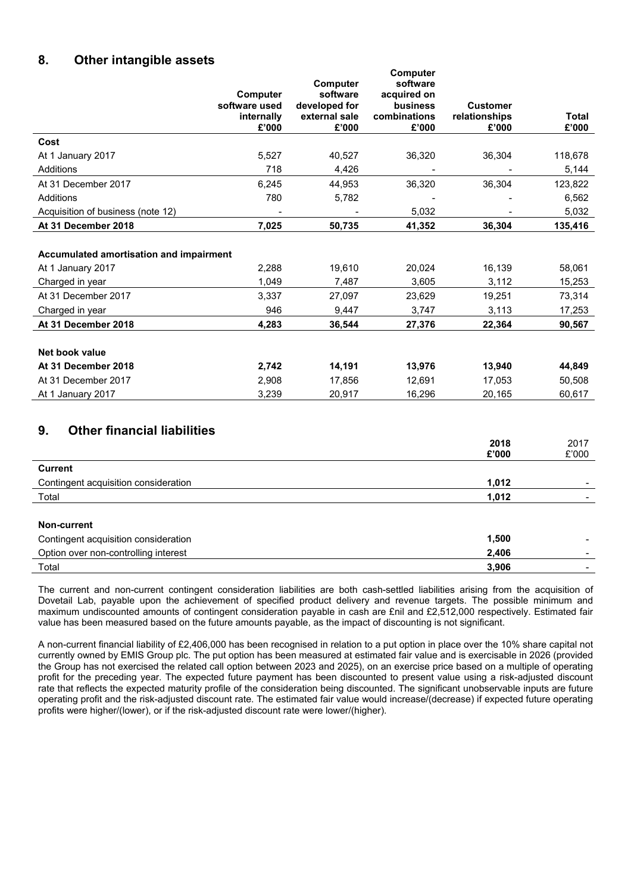# **8. Other intangible assets**

|                                         | Computer<br>software used<br>internally<br>£'000 | <b>Computer</b><br>software<br>developed for<br>external sale<br>£'000 | Computer<br>software<br>acquired on<br><b>business</b><br>combinations<br>£'000 | <b>Customer</b><br>relationships<br>£'000 | Total<br>£'000 |
|-----------------------------------------|--------------------------------------------------|------------------------------------------------------------------------|---------------------------------------------------------------------------------|-------------------------------------------|----------------|
| Cost                                    |                                                  |                                                                        |                                                                                 |                                           |                |
| At 1 January 2017                       | 5,527                                            | 40,527                                                                 | 36,320                                                                          | 36,304                                    | 118,678        |
| Additions                               | 718                                              | 4,426                                                                  |                                                                                 |                                           | 5,144          |
| At 31 December 2017                     | 6,245                                            | 44,953                                                                 | 36,320                                                                          | 36,304                                    | 123,822        |
| Additions                               | 780                                              | 5,782                                                                  |                                                                                 |                                           | 6,562          |
| Acquisition of business (note 12)       |                                                  |                                                                        | 5,032                                                                           |                                           | 5,032          |
| At 31 December 2018                     | 7,025                                            | 50,735                                                                 | 41,352                                                                          | 36,304                                    | 135,416        |
| Accumulated amortisation and impairment |                                                  |                                                                        |                                                                                 |                                           |                |
| At 1 January 2017                       | 2,288                                            | 19,610                                                                 | 20,024                                                                          | 16,139                                    | 58,061         |
| Charged in year                         | 1,049                                            | 7,487                                                                  | 3,605                                                                           | 3,112                                     | 15,253         |
| At 31 December 2017                     | 3.337                                            | 27,097                                                                 | 23,629                                                                          | 19,251                                    | 73,314         |
| Charged in year                         | 946                                              | 9,447                                                                  | 3,747                                                                           | 3,113                                     | 17,253         |
| At 31 December 2018                     | 4,283                                            | 36,544                                                                 | 27,376                                                                          | 22,364                                    | 90,567         |
| Net book value                          |                                                  |                                                                        |                                                                                 |                                           |                |
| At 31 December 2018                     | 2,742                                            | 14,191                                                                 | 13,976                                                                          | 13,940                                    | 44,849         |
| At 31 December 2017                     | 2,908                                            | 17,856                                                                 | 12,691                                                                          | 17,053                                    | 50,508         |
| At 1 January 2017                       | 3,239                                            | 20,917                                                                 | 16,296                                                                          | 20,165                                    | 60,617         |

**Computer** 

# **9. Other financial liabilities**

|                                      | 2018<br>£'000 | 2017<br>£'000 |
|--------------------------------------|---------------|---------------|
| <b>Current</b>                       |               |               |
| Contingent acquisition consideration | 1,012         |               |
| Total                                | 1,012         |               |
|                                      |               |               |
| Non-current                          |               |               |
| Contingent acquisition consideration | 1,500         |               |
| Option over non-controlling interest | 2,406         |               |
| Total                                | 3,906         |               |

The current and non-current contingent consideration liabilities are both cash-settled liabilities arising from the acquisition of Dovetail Lab, payable upon the achievement of specified product delivery and revenue targets. The possible minimum and maximum undiscounted amounts of contingent consideration payable in cash are £nil and £2,512,000 respectively. Estimated fair value has been measured based on the future amounts payable, as the impact of discounting is not significant.

A non-current financial liability of £2,406,000 has been recognised in relation to a put option in place over the 10% share capital not currently owned by EMIS Group plc. The put option has been measured at estimated fair value and is exercisable in 2026 (provided the Group has not exercised the related call option between 2023 and 2025), on an exercise price based on a multiple of operating profit for the preceding year. The expected future payment has been discounted to present value using a risk-adjusted discount rate that reflects the expected maturity profile of the consideration being discounted. The significant unobservable inputs are future operating profit and the risk-adjusted discount rate. The estimated fair value would increase/(decrease) if expected future operating profits were higher/(lower), or if the risk-adjusted discount rate were lower/(higher).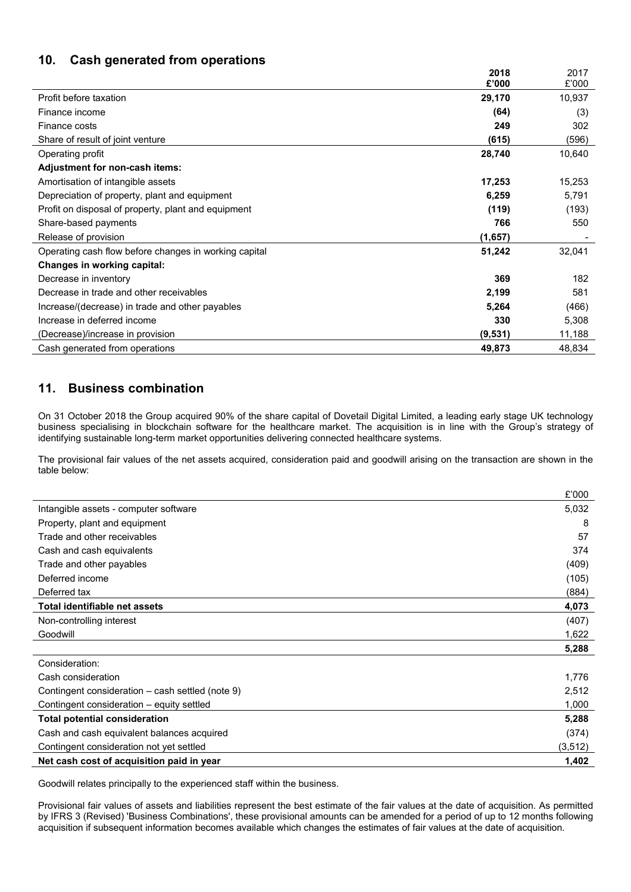# **10. Cash generated from operations**

|                                                       | 2018<br>£'000 | 2017<br>£'000 |
|-------------------------------------------------------|---------------|---------------|
| Profit before taxation                                | 29,170        | 10,937        |
| Finance income                                        | (64)          | (3)           |
| Finance costs                                         | 249           | 302           |
| Share of result of joint venture                      | (615)         | (596)         |
| Operating profit                                      | 28,740        | 10,640        |
| Adjustment for non-cash items:                        |               |               |
| Amortisation of intangible assets                     | 17,253        | 15,253        |
| Depreciation of property, plant and equipment         | 6,259         | 5,791         |
| Profit on disposal of property, plant and equipment   | (119)         | (193)         |
| Share-based payments                                  | 766           | 550           |
| Release of provision                                  | (1,657)       |               |
| Operating cash flow before changes in working capital | 51,242        | 32,041        |
| Changes in working capital:                           |               |               |
| Decrease in inventory                                 | 369           | 182           |
| Decrease in trade and other receivables               | 2,199         | 581           |
| Increase/(decrease) in trade and other payables       | 5,264         | (466)         |
| Increase in deferred income                           | 330           | 5,308         |
| (Decrease)/increase in provision                      | (9,531)       | 11,188        |
| Cash generated from operations                        | 49,873        | 48,834        |

# **11. Business combination**

On 31 October 2018 the Group acquired 90% of the share capital of Dovetail Digital Limited, a leading early stage UK technology business specialising in blockchain software for the healthcare market. The acquisition is in line with the Group's strategy of identifying sustainable long-term market opportunities delivering connected healthcare systems.

The provisional fair values of the net assets acquired, consideration paid and goodwill arising on the transaction are shown in the table below:

|                                                  | £'000    |
|--------------------------------------------------|----------|
| Intangible assets - computer software            | 5,032    |
| Property, plant and equipment                    | 8        |
| Trade and other receivables                      | 57       |
| Cash and cash equivalents                        | 374      |
| Trade and other payables                         | (409)    |
| Deferred income                                  | (105)    |
| Deferred tax                                     | (884)    |
| Total identifiable net assets                    | 4,073    |
| Non-controlling interest                         | (407)    |
| Goodwill                                         | 1,622    |
|                                                  | 5,288    |
| Consideration:                                   |          |
| Cash consideration                               | 1,776    |
| Contingent consideration – cash settled (note 9) | 2,512    |
| Contingent consideration – equity settled        | 1,000    |
| <b>Total potential consideration</b>             | 5,288    |
| Cash and cash equivalent balances acquired       | (374)    |
| Contingent consideration not yet settled         | (3, 512) |
| Net cash cost of acquisition paid in year        | 1,402    |
|                                                  |          |

Goodwill relates principally to the experienced staff within the business.

Provisional fair values of assets and liabilities represent the best estimate of the fair values at the date of acquisition. As permitted by IFRS 3 (Revised) 'Business Combinations', these provisional amounts can be amended for a period of up to 12 months following acquisition if subsequent information becomes available which changes the estimates of fair values at the date of acquisition.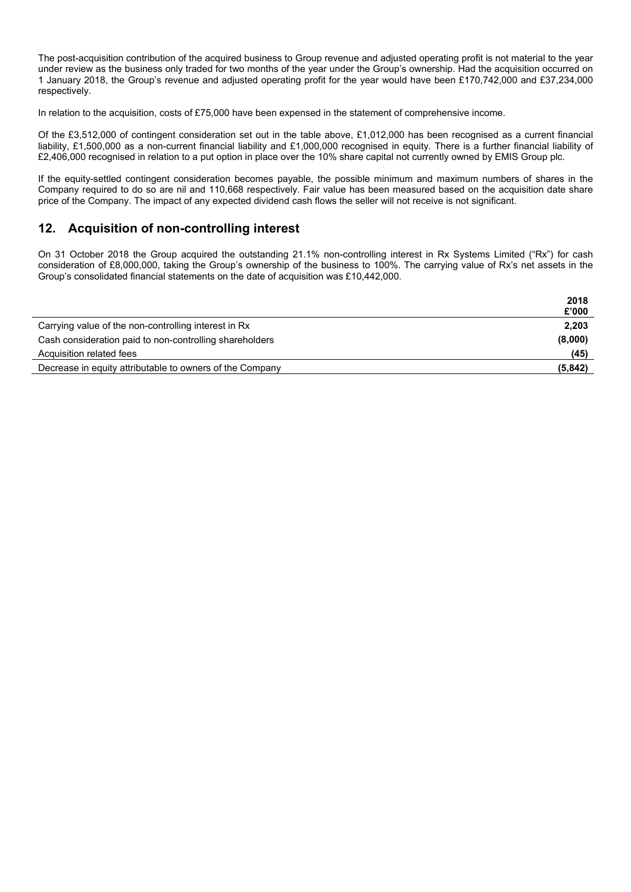The post-acquisition contribution of the acquired business to Group revenue and adjusted operating profit is not material to the year under review as the business only traded for two months of the year under the Group's ownership. Had the acquisition occurred on 1 January 2018, the Group's revenue and adjusted operating profit for the year would have been £170,742,000 and £37,234,000 respectively.

In relation to the acquisition, costs of £75,000 have been expensed in the statement of comprehensive income.

Of the £3,512,000 of contingent consideration set out in the table above, £1,012,000 has been recognised as a current financial liability, £1,500,000 as a non-current financial liability and £1,000,000 recognised in equity. There is a further financial liability of £2,406,000 recognised in relation to a put option in place over the 10% share capital not currently owned by EMIS Group plc.

If the equity-settled contingent consideration becomes payable, the possible minimum and maximum numbers of shares in the Company required to do so are nil and 110,668 respectively. Fair value has been measured based on the acquisition date share price of the Company. The impact of any expected dividend cash flows the seller will not receive is not significant.

# **12. Acquisition of non-controlling interest**

On 31 October 2018 the Group acquired the outstanding 21.1% non-controlling interest in Rx Systems Limited ("Rx") for cash consideration of £8,000,000, taking the Group's ownership of the business to 100%. The carrying value of Rx's net assets in the Group's consolidated financial statements on the date of acquisition was £10,442,000.

|                                                          | 2018    |
|----------------------------------------------------------|---------|
|                                                          | £'000   |
| Carrying value of the non-controlling interest in Rx     | 2,203   |
| Cash consideration paid to non-controlling shareholders  | (8,000) |
| Acquisition related fees                                 | (45)    |
| Decrease in equity attributable to owners of the Company | (5,842) |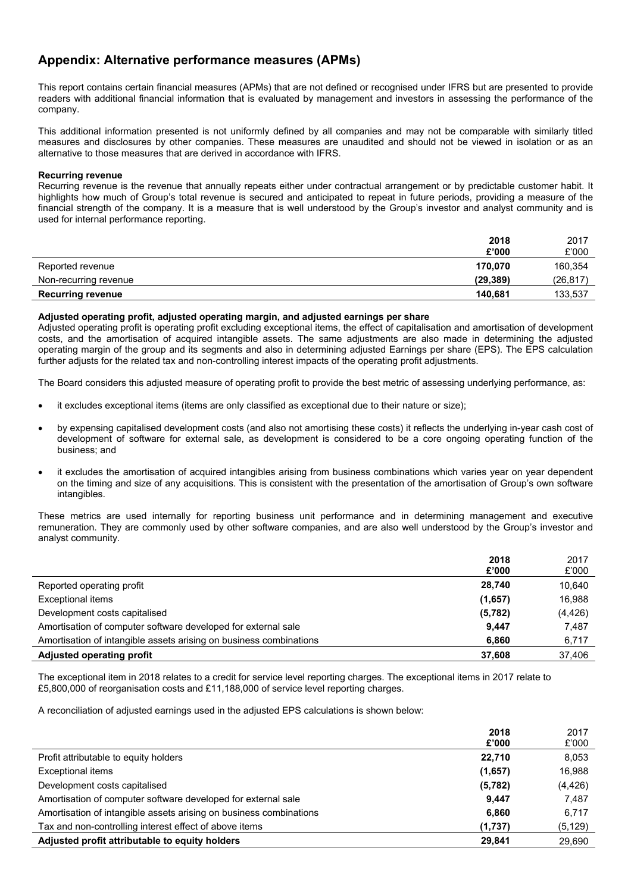# **Appendix: Alternative performance measures (APMs)**

This report contains certain financial measures (APMs) that are not defined or recognised under IFRS but are presented to provide readers with additional financial information that is evaluated by management and investors in assessing the performance of the company.

This additional information presented is not uniformly defined by all companies and may not be comparable with similarly titled measures and disclosures by other companies. These measures are unaudited and should not be viewed in isolation or as an alternative to those measures that are derived in accordance with IFRS.

#### **Recurring revenue**

Recurring revenue is the revenue that annually repeats either under contractual arrangement or by predictable customer habit. It highlights how much of Group's total revenue is secured and anticipated to repeat in future periods, providing a measure of the financial strength of the company. It is a measure that is well understood by the Group's investor and analyst community and is used for internal performance reporting.

|                          | 2018      | 2017      |
|--------------------------|-----------|-----------|
|                          | £'000     | £'000     |
| Reported revenue         | 170.070   | 160,354   |
| Non-recurring revenue    | (29, 389) | (26, 817) |
| <b>Recurring revenue</b> | 140.681   | 133,537   |

#### **Adjusted operating profit, adjusted operating margin, and adjusted earnings per share**

Adjusted operating profit is operating profit excluding exceptional items, the effect of capitalisation and amortisation of development costs, and the amortisation of acquired intangible assets. The same adjustments are also made in determining the adjusted operating margin of the group and its segments and also in determining adjusted Earnings per share (EPS). The EPS calculation further adjusts for the related tax and non-controlling interest impacts of the operating profit adjustments.

The Board considers this adjusted measure of operating profit to provide the best metric of assessing underlying performance, as:

- it excludes exceptional items (items are only classified as exceptional due to their nature or size);
- by expensing capitalised development costs (and also not amortising these costs) it reflects the underlying in-year cash cost of development of software for external sale, as development is considered to be a core ongoing operating function of the business; and
- it excludes the amortisation of acquired intangibles arising from business combinations which varies year on year dependent on the timing and size of any acquisitions. This is consistent with the presentation of the amortisation of Group's own software intangibles.

These metrics are used internally for reporting business unit performance and in determining management and executive remuneration. They are commonly used by other software companies, and are also well understood by the Group's investor and analyst community.

|                                                                    | 2018<br>£'000 | 2017<br>£'000 |
|--------------------------------------------------------------------|---------------|---------------|
| Reported operating profit                                          | 28,740        | 10,640        |
| Exceptional items                                                  | (1.657)       | 16,988        |
| Development costs capitalised                                      | (5,782)       | (4, 426)      |
| Amortisation of computer software developed for external sale      | 9.447         | 7.487         |
| Amortisation of intangible assets arising on business combinations | 6,860         | 6,717         |
| Adjusted operating profit                                          | 37.608        | 37.406        |

The exceptional item in 2018 relates to a credit for service level reporting charges. The exceptional items in 2017 relate to £5,800,000 of reorganisation costs and £11,188,000 of service level reporting charges.

A reconciliation of adjusted earnings used in the adjusted EPS calculations is shown below:

|                                                                    | 2018     | 2017     |
|--------------------------------------------------------------------|----------|----------|
|                                                                    | £'000    | £'000    |
| Profit attributable to equity holders                              | 22.710   | 8,053    |
| Exceptional items                                                  | (1,657)  | 16,988   |
| Development costs capitalised                                      | (5, 782) | (4, 426) |
| Amortisation of computer software developed for external sale      | 9.447    | 7,487    |
| Amortisation of intangible assets arising on business combinations | 6,860    | 6,717    |
| Tax and non-controlling interest effect of above items             | (1,737)  | (5, 129) |
| Adjusted profit attributable to equity holders                     | 29,841   | 29,690   |